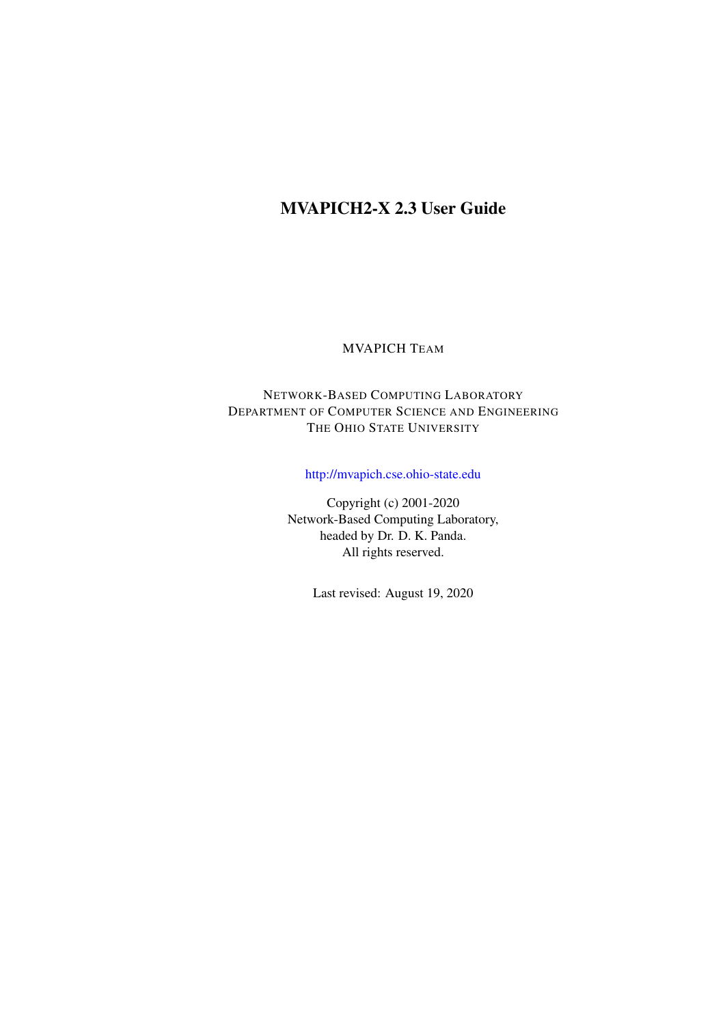# MVAPICH2-X 2.3 User Guide

#### MVAPICH TEAM

## NETWORK-BASED COMPUTING LABORATORY DEPARTMENT OF COMPUTER SCIENCE AND ENGINEERING THE OHIO STATE UNIVERSITY

## <http://mvapich.cse.ohio-state.edu>

Copyright (c) 2001-2020 Network-Based Computing Laboratory, headed by Dr. D. K. Panda. All rights reserved.

Last revised: August 19, 2020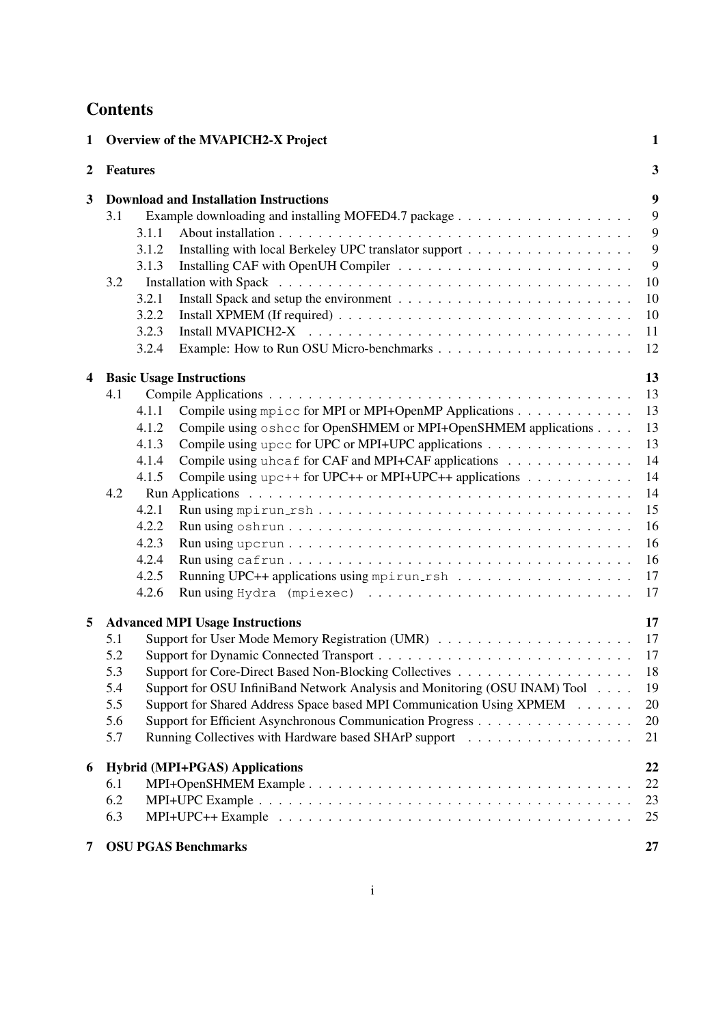# **Contents**

| 1 |     | <b>Overview of the MVAPICH2-X Project</b>                                                                 | $\mathbf{1}$ |
|---|-----|-----------------------------------------------------------------------------------------------------------|--------------|
| 2 |     | <b>Features</b>                                                                                           | 3            |
| 3 |     | <b>Download and Installation Instructions</b>                                                             | 9            |
|   | 3.1 |                                                                                                           | 9            |
|   |     | 3.1.1                                                                                                     | 9            |
|   |     | 3.1.2                                                                                                     | 9            |
|   |     | 3.1.3                                                                                                     | 9            |
|   | 3.2 |                                                                                                           | 10           |
|   |     | 3.2.1                                                                                                     | 10           |
|   |     | 3.2.2                                                                                                     | 10           |
|   |     | Install MVAPICH2-X<br>3.2.3                                                                               | 11           |
|   |     | 3.2.4                                                                                                     | 12           |
| 4 |     | <b>Basic Usage Instructions</b>                                                                           | 13           |
|   | 4.1 |                                                                                                           | 13           |
|   |     | Compile using mpicc for MPI or MPI+OpenMP Applications<br>4.1.1                                           | 13           |
|   |     | Compile using oshcc for OpenSHMEM or MPI+OpenSHMEM applications<br>4.1.2                                  | 13           |
|   |     | Compile using upcc for UPC or MPI+UPC applications<br>4.1.3                                               | 13           |
|   |     | Compile using uhcaf for CAF and MPI+CAF applications<br>4.1.4                                             | 14           |
|   |     | Compile using $\text{upc++}$ for UPC++ or MPI+UPC++ applications<br>4.1.5                                 | 14           |
|   | 4.2 |                                                                                                           | 14           |
|   |     | 4.2.1                                                                                                     | 15           |
|   |     | 4.2.2                                                                                                     | 16           |
|   |     | 4.2.3                                                                                                     | 16           |
|   |     | 4.2.4                                                                                                     | 16           |
|   |     | 4.2.5                                                                                                     | 17           |
|   |     | 4.2.6                                                                                                     | 17           |
| 5 |     | <b>Advanced MPI Usage Instructions</b>                                                                    | 17           |
|   | 5.1 |                                                                                                           | 17           |
|   | 5.2 |                                                                                                           | 17           |
|   | 5.3 |                                                                                                           | 18           |
|   | 5.4 | Support for OSU InfiniBand Network Analysis and Monitoring (OSU INAM) Tool                                | 19           |
|   | 5.5 | Support for Shared Address Space based MPI Communication Using XPMEM                                      | 20           |
|   | 5.6 | Support for Efficient Asynchronous Communication Progress                                                 | 20           |
|   | 5.7 |                                                                                                           | 21           |
| 6 |     | <b>Hybrid (MPI+PGAS) Applications</b>                                                                     | 22           |
|   | 6.1 |                                                                                                           | 22           |
|   | 6.2 |                                                                                                           | 23           |
|   | 6.3 | $MPI+UPC++$ Example $\ldots \ldots \ldots \ldots \ldots \ldots \ldots \ldots \ldots \ldots \ldots \ldots$ | 25           |
| 7 |     | <b>OSU PGAS Benchmarks</b>                                                                                | 27           |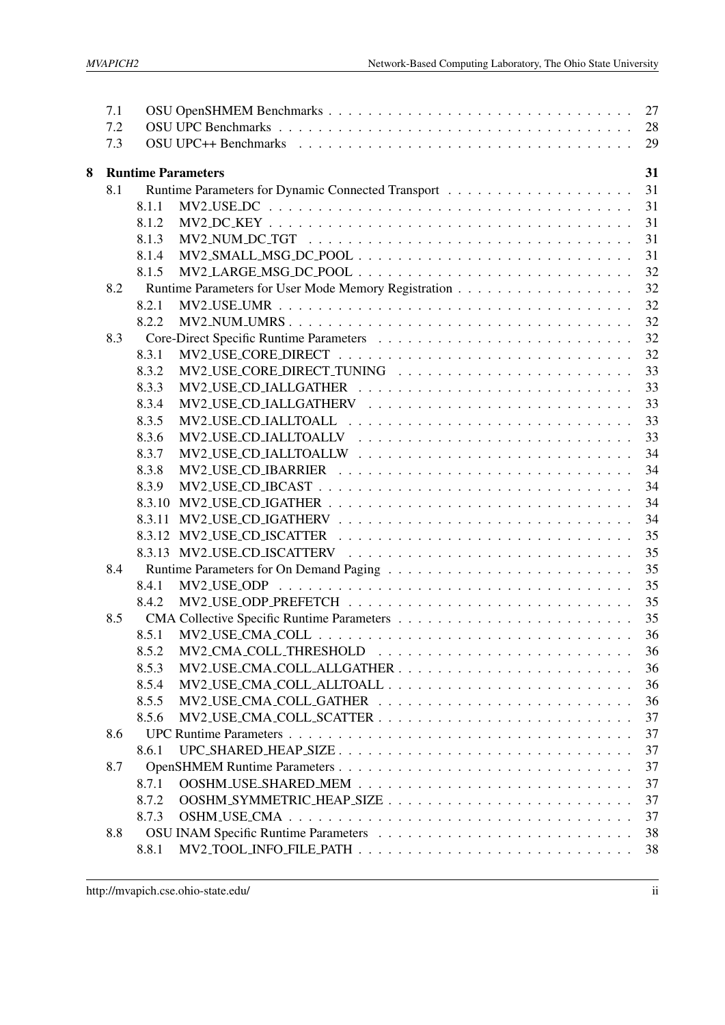|                                | 7.1 |        |                          | 27       |  |
|--------------------------------|-----|--------|--------------------------|----------|--|
|                                | 7.2 |        |                          | 28       |  |
|                                | 7.3 |        |                          | 29       |  |
| 8<br><b>Runtime Parameters</b> |     |        |                          |          |  |
|                                | 8.1 |        |                          | 31<br>31 |  |
|                                |     | 8.1.1  |                          | 31       |  |
|                                |     | 8.1.2  |                          | 31       |  |
|                                |     | 8.1.3  |                          | 31       |  |
|                                |     | 8.1.4  |                          | 31       |  |
|                                |     | 8.1.5  |                          | 32       |  |
|                                | 8.2 |        |                          | 32       |  |
|                                |     | 8.2.1  |                          | 32       |  |
|                                |     | 8.2.2  |                          | 32       |  |
|                                | 8.3 |        |                          |          |  |
|                                |     | 8.3.1  |                          | 32<br>32 |  |
|                                |     |        |                          | 33       |  |
|                                |     | 8.3.2  |                          |          |  |
|                                |     | 8.3.3  | $MV2$ -USE-CD-IALLGATHER | 33       |  |
|                                |     | 8.3.4  |                          | 33       |  |
|                                |     | 8.3.5  |                          | 33       |  |
|                                |     | 8.3.6  | $MV2$ _USE_CD_IALLTOALLV | 33       |  |
|                                |     | 8.3.7  | $MV2$ -USE-CD-IALLTOALLW | 34       |  |
|                                |     | 8.3.8  |                          | 34       |  |
|                                |     | 8.3.9  | MV2_USE_CD_IBCAST        | 34       |  |
|                                |     | 8.3.10 |                          | 34       |  |
|                                |     | 8.3.11 |                          | 34       |  |
|                                |     | 8.3.12 |                          | 35       |  |
|                                |     |        |                          | 35       |  |
|                                | 8.4 |        |                          | 35       |  |
|                                |     | 8.4.1  |                          | 35       |  |
|                                |     | 8.4.2  |                          | 35       |  |
|                                | 8.5 |        |                          | 35       |  |
|                                |     | 8.5.1  |                          | 36       |  |
|                                |     | 8.5.2  | MV2_CMA_COLL_THRESHOLD   | 36       |  |
|                                |     | 8.5.3  |                          | 36       |  |
|                                |     | 8.5.4  |                          | 36       |  |
|                                |     | 8.5.5  |                          | 36       |  |
|                                |     | 8.5.6  |                          | 37       |  |
|                                | 8.6 |        |                          | 37       |  |
|                                |     | 8.6.1  | UPC_SHARED_HEAP_SIZE     | 37       |  |
|                                | 8.7 |        |                          | 37       |  |
|                                |     | 8.7.1  |                          | 37       |  |
|                                |     | 8.7.2  |                          | 37       |  |
|                                |     | 8.7.3  |                          | 37       |  |
|                                | 8.8 |        |                          | 38       |  |
|                                |     | 8.8.1  |                          | 38       |  |
|                                |     |        |                          |          |  |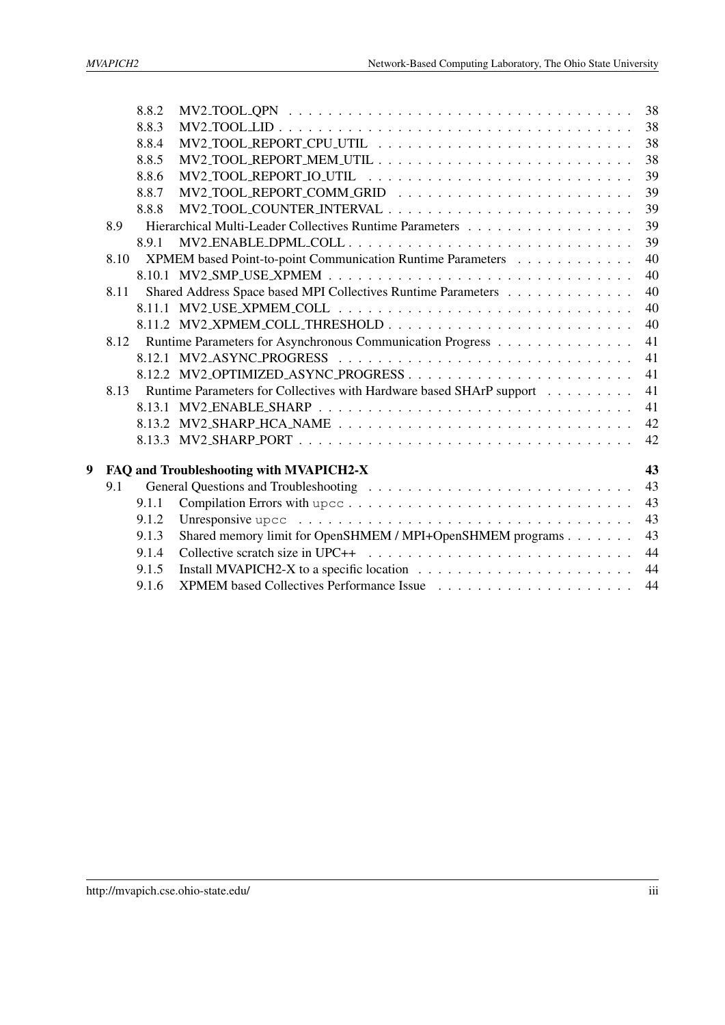|   |      | 8.8.2 |                                                                                                          | 38             |
|---|------|-------|----------------------------------------------------------------------------------------------------------|----------------|
|   |      | 8.8.3 |                                                                                                          | 38             |
|   |      | 8.8.4 |                                                                                                          | 38             |
|   |      | 8.8.5 |                                                                                                          | 38             |
|   |      | 8.8.6 |                                                                                                          | 39             |
|   |      | 8.8.7 |                                                                                                          | 39             |
|   |      | 8.8.8 |                                                                                                          | 39             |
|   | 8.9  |       |                                                                                                          | 39             |
|   |      | 8.9.1 | $MV2$ _ENABLE_DPML_COLL                                                                                  | 39             |
|   | 8.10 |       | XPMEM based Point-to-point Communication Runtime Parameters                                              | 40             |
|   |      |       |                                                                                                          | 40             |
|   | 8.11 |       | Shared Address Space based MPI Collectives Runtime Parameters                                            | 40             |
|   |      |       |                                                                                                          | 40             |
|   |      |       | 8.11.2 MV2_XPMEM_COLL_THRESHOLD                                                                          | 40             |
|   | 8.12 |       | Runtime Parameters for Asynchronous Communication Progress                                               | 41             |
|   |      |       |                                                                                                          | 41             |
|   |      |       | 8.12.2 MV2_OPTIMIZED_ASYNC_PROGRESS                                                                      | 41             |
|   | 8.13 |       | Runtime Parameters for Collectives with Hardware based SHArP support                                     | 41             |
|   |      |       |                                                                                                          | 41             |
|   |      |       |                                                                                                          | 42             |
|   |      |       |                                                                                                          | 42             |
|   |      |       |                                                                                                          |                |
| 9 |      |       | FAQ and Troubleshooting with MVAPICH2-X                                                                  | 43             |
|   | 9.1  |       |                                                                                                          | 43             |
|   |      | 9.1.1 |                                                                                                          | 4 <sub>3</sub> |
|   |      | 9.1.2 | Unresponsive upcc $\ldots \ldots \ldots \ldots \ldots \ldots \ldots \ldots \ldots \ldots \ldots \ldots$  | 4 <sub>3</sub> |
|   |      | 9.1.3 | Shared memory limit for OpenSHMEM / MPI+OpenSHMEM programs                                               | 43             |
|   |      | 9.1.4 | Collective scratch size in UPC++ $\ldots \ldots \ldots \ldots \ldots \ldots \ldots \ldots \ldots \ldots$ | 44             |
|   |      | 9.1.5 |                                                                                                          | 44             |
|   |      | 9.1.6 |                                                                                                          | 44             |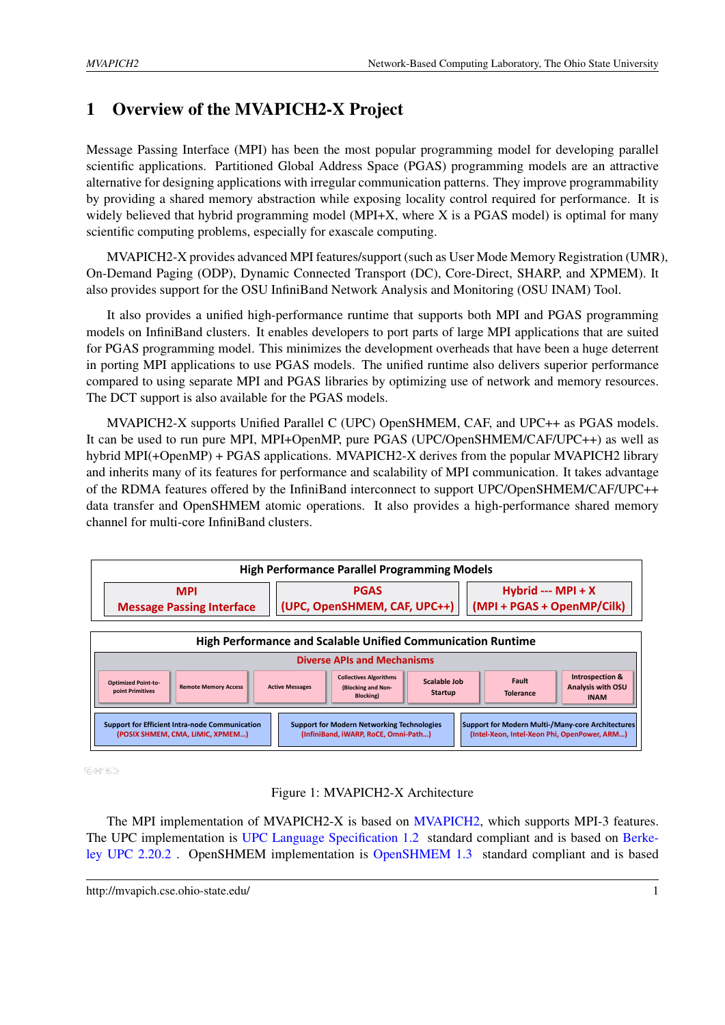# <span id="page-4-0"></span>1 Overview of the MVAPICH2-X Project

Message Passing Interface (MPI) has been the most popular programming model for developing parallel scientific applications. Partitioned Global Address Space (PGAS) programming models are an attractive alternative for designing applications with irregular communication patterns. They improve programmability by providing a shared memory abstraction while exposing locality control required for performance. It is widely believed that hybrid programming model (MPI+X, where X is a PGAS model) is optimal for many scientific computing problems, especially for exascale computing.

MVAPICH2-X provides advanced MPI features/support (such as User Mode Memory Registration (UMR), On-Demand Paging (ODP), Dynamic Connected Transport (DC), Core-Direct, SHARP, and XPMEM). It also provides support for the OSU InfiniBand Network Analysis and Monitoring (OSU INAM) Tool.

It also provides a unified high-performance runtime that supports both MPI and PGAS programming models on InfiniBand clusters. It enables developers to port parts of large MPI applications that are suited for PGAS programming model. This minimizes the development overheads that have been a huge deterrent in porting MPI applications to use PGAS models. The unified runtime also delivers superior performance compared to using separate MPI and PGAS libraries by optimizing use of network and memory resources. The DCT support is also available for the PGAS models.

MVAPICH2-X supports Unified Parallel C (UPC) OpenSHMEM, CAF, and UPC++ as PGAS models. It can be used to run pure MPI, MPI+OpenMP, pure PGAS (UPC/OpenSHMEM/CAF/UPC++) as well as hybrid MPI(+OpenMP) + PGAS applications. MVAPICH2-X derives from the popular MVAPICH2 library and inherits many of its features for performance and scalability of MPI communication. It takes advantage of the RDMA features offered by the InfiniBand interconnect to support UPC/OpenSHMEM/CAF/UPC++ data transfer and OpenSHMEM atomic operations. It also provides a high-performance shared memory channel for multi-core InfiniBand clusters.



## <span id="page-4-1"></span>Figure 1: MVAPICH2-X Architecture

The MPI implementation of MVAPICH2-X is based on [MVAPICH2,](http://mvapich.cse.ohio-state.edu) which supports MPI-3 features. The UPC implementation is [UPC Language Specification 1.2](http://upc.lbl.gov/docs/user/upc_spec_1.2.pdf) standard compliant and is based on [Berke](http://upc.lbl.gov/)[ley UPC 2.20.2](http://upc.lbl.gov/) . OpenSHMEM implementation is [OpenSHMEM 1.3](http://openshmem.org/) standard compliant and is based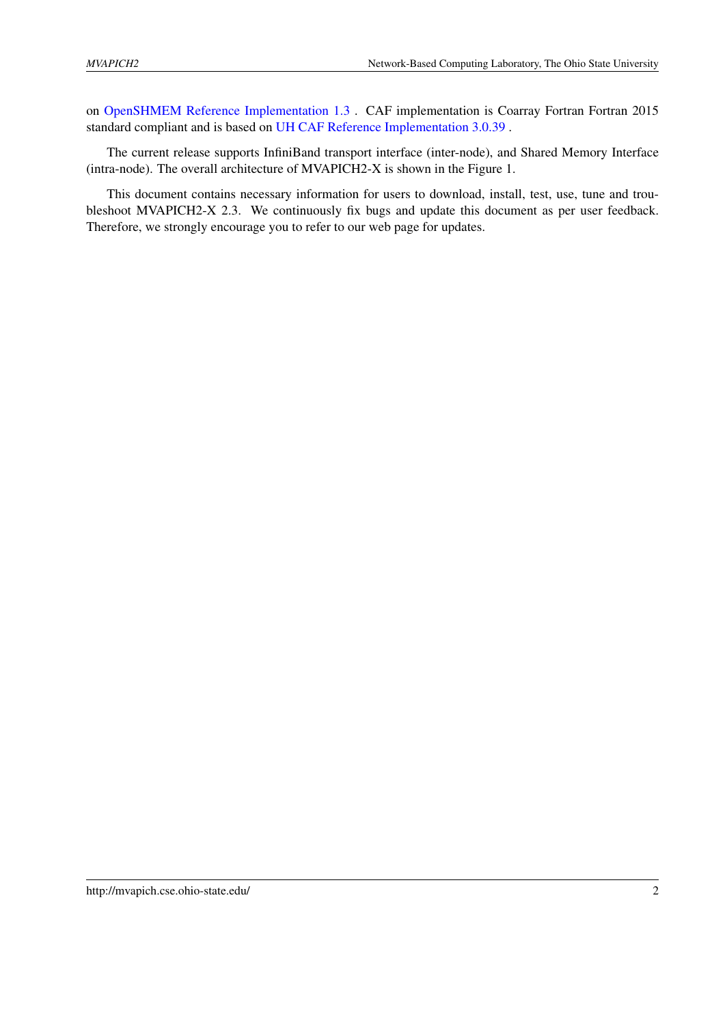on [OpenSHMEM Reference Implementation 1.3](http://openshmem.org) . CAF implementation is Coarray Fortran Fortran 2015 standard compliant and is based on [UH CAF Reference Implementation 3.0.39](http://www.cacds.uh.edu/?q=hpctools) .

The current release supports InfiniBand transport interface (inter-node), and Shared Memory Interface (intra-node). The overall architecture of MVAPICH2-X is shown in the Figure [1.](#page-4-1)

This document contains necessary information for users to download, install, test, use, tune and troubleshoot MVAPICH2-X 2.3. We continuously fix bugs and update this document as per user feedback. Therefore, we strongly encourage you to refer to our web page for updates.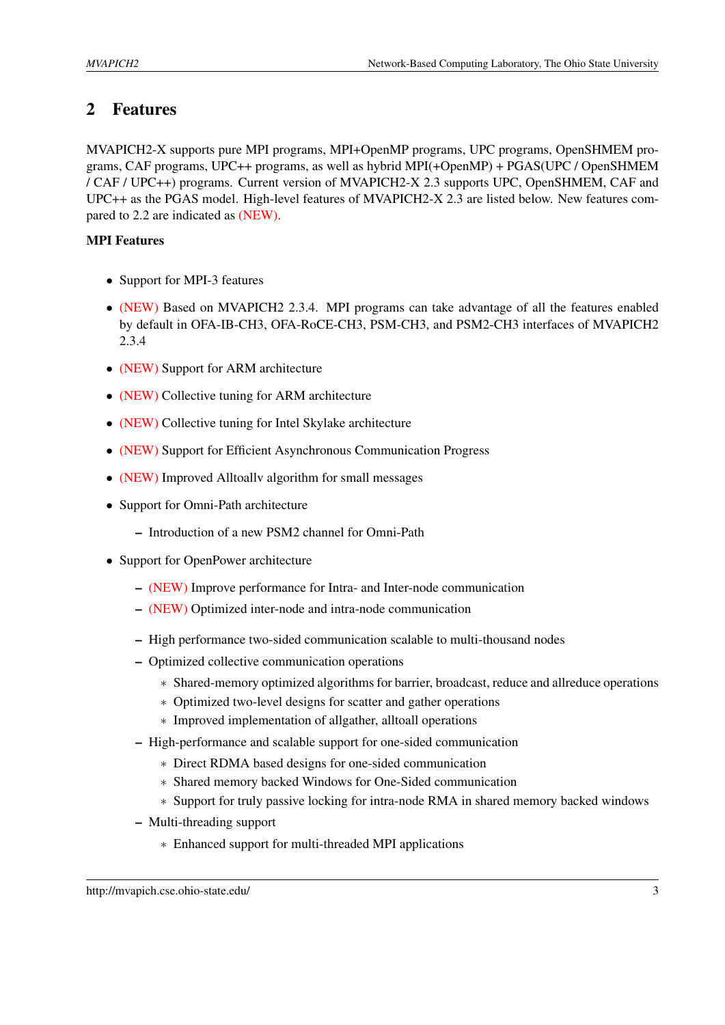# <span id="page-6-0"></span>2 Features

MVAPICH2-X supports pure MPI programs, MPI+OpenMP programs, UPC programs, OpenSHMEM programs, CAF programs, UPC++ programs, as well as hybrid MPI(+OpenMP) + PGAS(UPC / OpenSHMEM / CAF / UPC++) programs. Current version of MVAPICH2-X 2.3 supports UPC, OpenSHMEM, CAF and UPC++ as the PGAS model. High-level features of MVAPICH2-X 2.3 are listed below. New features compared to 2.2 are indicated as (NEW).

## MPI Features

- Support for MPI-3 features
- (NEW) Based on MVAPICH2 2.3.4. MPI programs can take advantage of all the features enabled by default in OFA-IB-CH3, OFA-RoCE-CH3, PSM-CH3, and PSM2-CH3 interfaces of MVAPICH2 2.3.4
- (NEW) Support for ARM architecture
- (NEW) Collective tuning for ARM architecture
- (NEW) Collective tuning for Intel Skylake architecture
- (NEW) Support for Efficient Asynchronous Communication Progress
- (NEW) Improved Alltoally algorithm for small messages
- Support for Omni-Path architecture
	- Introduction of a new PSM2 channel for Omni-Path
- Support for OpenPower architecture
	- (NEW) Improve performance for Intra- and Inter-node communication
	- (NEW) Optimized inter-node and intra-node communication
	- High performance two-sided communication scalable to multi-thousand nodes
	- Optimized collective communication operations
		- ∗ Shared-memory optimized algorithms for barrier, broadcast, reduce and allreduce operations
		- ∗ Optimized two-level designs for scatter and gather operations
		- ∗ Improved implementation of allgather, alltoall operations
	- High-performance and scalable support for one-sided communication
		- ∗ Direct RDMA based designs for one-sided communication
		- ∗ Shared memory backed Windows for One-Sided communication
		- ∗ Support for truly passive locking for intra-node RMA in shared memory backed windows
	- Multi-threading support
		- ∗ Enhanced support for multi-threaded MPI applications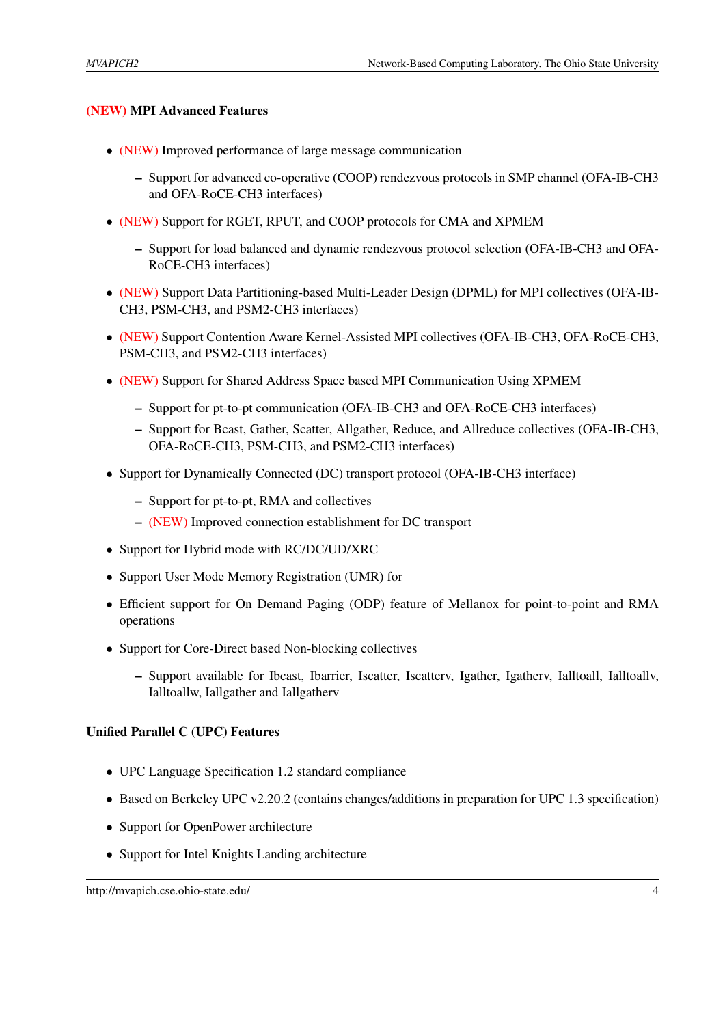#### (NEW) MPI Advanced Features

- (NEW) Improved performance of large message communication
	- Support for advanced co-operative (COOP) rendezvous protocols in SMP channel (OFA-IB-CH3 and OFA-RoCE-CH3 interfaces)
- (NEW) Support for RGET, RPUT, and COOP protocols for CMA and XPMEM
	- Support for load balanced and dynamic rendezvous protocol selection (OFA-IB-CH3 and OFA-RoCE-CH3 interfaces)
- (NEW) Support Data Partitioning-based Multi-Leader Design (DPML) for MPI collectives (OFA-IB-CH3, PSM-CH3, and PSM2-CH3 interfaces)
- (NEW) Support Contention Aware Kernel-Assisted MPI collectives (OFA-IB-CH3, OFA-RoCE-CH3, PSM-CH3, and PSM2-CH3 interfaces)
- (NEW) Support for Shared Address Space based MPI Communication Using XPMEM
	- Support for pt-to-pt communication (OFA-IB-CH3 and OFA-RoCE-CH3 interfaces)
	- Support for Bcast, Gather, Scatter, Allgather, Reduce, and Allreduce collectives (OFA-IB-CH3, OFA-RoCE-CH3, PSM-CH3, and PSM2-CH3 interfaces)
- Support for Dynamically Connected (DC) transport protocol (OFA-IB-CH3 interface)
	- Support for pt-to-pt, RMA and collectives
	- (NEW) Improved connection establishment for DC transport
- Support for Hybrid mode with RC/DC/UD/XRC
- Support User Mode Memory Registration (UMR) for
- Efficient support for On Demand Paging (ODP) feature of Mellanox for point-to-point and RMA operations
- Support for Core-Direct based Non-blocking collectives
	- Support available for Ibcast, Ibarrier, Iscatter, Iscatterv, Igather, Igatherv, Ialltoall, Ialltoallv, Ialltoallw, Iallgather and Iallgatherv

#### Unified Parallel C (UPC) Features

- UPC Language Specification 1.2 standard compliance
- Based on Berkeley UPC v2.20.2 (contains changes/additions in preparation for UPC 1.3 specification)
- Support for OpenPower architecture
- Support for Intel Knights Landing architecture

http://mvapich.cse.ohio-state.edu/ 4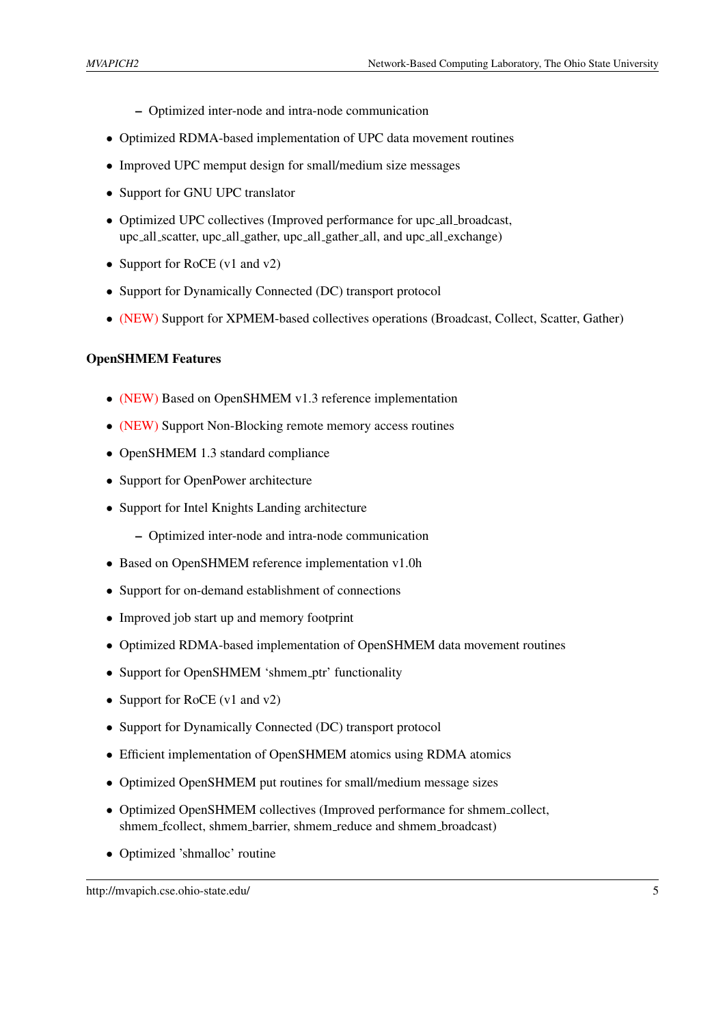- Optimized inter-node and intra-node communication
- Optimized RDMA-based implementation of UPC data movement routines
- Improved UPC memput design for small/medium size messages
- Support for GNU UPC translator
- Optimized UPC collectives (Improved performance for upc\_all\_broadcast, upc all scatter, upc all gather, upc all gather all, and upc all exchange)
- Support for RoCE (v1 and v2)
- Support for Dynamically Connected (DC) transport protocol
- (NEW) Support for XPMEM-based collectives operations (Broadcast, Collect, Scatter, Gather)

#### OpenSHMEM Features

- (NEW) Based on OpenSHMEM v1.3 reference implementation
- (NEW) Support Non-Blocking remote memory access routines
- OpenSHMEM 1.3 standard compliance
- Support for OpenPower architecture
- Support for Intel Knights Landing architecture
	- Optimized inter-node and intra-node communication
- Based on OpenSHMEM reference implementation v1.0h
- Support for on-demand establishment of connections
- Improved job start up and memory footprint
- Optimized RDMA-based implementation of OpenSHMEM data movement routines
- Support for OpenSHMEM 'shmem\_ptr' functionality
- Support for RoCE (v1 and v2)
- Support for Dynamically Connected (DC) transport protocol
- Efficient implementation of OpenSHMEM atomics using RDMA atomics
- Optimized OpenSHMEM put routines for small/medium message sizes
- Optimized OpenSHMEM collectives (Improved performance for shmem collect, shmem fcollect, shmem barrier, shmem reduce and shmem broadcast)
- Optimized 'shmalloc' routine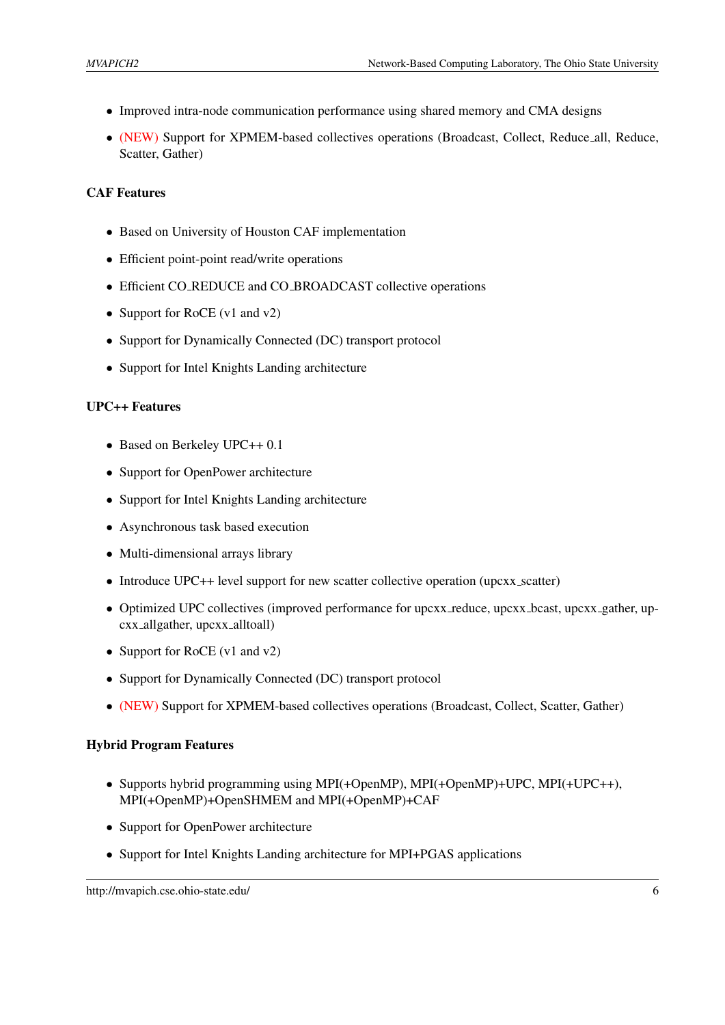- Improved intra-node communication performance using shared memory and CMA designs
- (NEW) Support for XPMEM-based collectives operations (Broadcast, Collect, Reduce all, Reduce, Scatter, Gather)

#### CAF Features

- Based on University of Houston CAF implementation
- Efficient point-point read/write operations
- Efficient CO REDUCE and CO BROADCAST collective operations
- Support for RoCE (v1 and v2)
- Support for Dynamically Connected (DC) transport protocol
- Support for Intel Knights Landing architecture

#### UPC++ Features

- Based on Berkeley UPC++ 0.1
- Support for OpenPower architecture
- Support for Intel Knights Landing architecture
- Asynchronous task based execution
- Multi-dimensional arrays library
- Introduce UPC++ level support for new scatter collective operation (upcxx\_scatter)
- Optimized UPC collectives (improved performance for upcxx reduce, upcxx bcast, upcxx gather, upcxx allgather, upcxx alltoall)
- Support for RoCE (v1 and v2)
- Support for Dynamically Connected (DC) transport protocol
- (NEW) Support for XPMEM-based collectives operations (Broadcast, Collect, Scatter, Gather)

#### Hybrid Program Features

- Supports hybrid programming using MPI(+OpenMP), MPI(+OpenMP)+UPC, MPI(+UPC++), MPI(+OpenMP)+OpenSHMEM and MPI(+OpenMP)+CAF
- Support for OpenPower architecture
- Support for Intel Knights Landing architecture for MPI+PGAS applications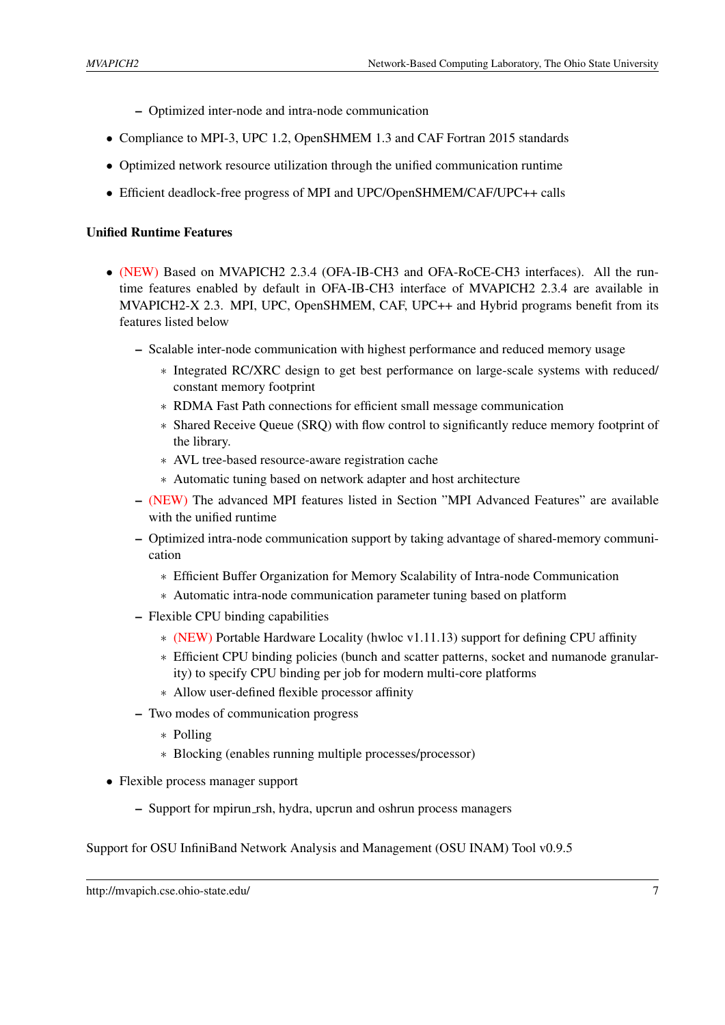- Optimized inter-node and intra-node communication
- Compliance to MPI-3, UPC 1.2, OpenSHMEM 1.3 and CAF Fortran 2015 standards
- Optimized network resource utilization through the unified communication runtime
- Efficient deadlock-free progress of MPI and UPC/OpenSHMEM/CAF/UPC++ calls

#### Unified Runtime Features

- (NEW) Based on MVAPICH2 2.3.4 (OFA-IB-CH3 and OFA-RoCE-CH3 interfaces). All the runtime features enabled by default in OFA-IB-CH3 interface of MVAPICH2 2.3.4 are available in MVAPICH2-X 2.3. MPI, UPC, OpenSHMEM, CAF, UPC++ and Hybrid programs benefit from its features listed below
	- Scalable inter-node communication with highest performance and reduced memory usage
		- ∗ Integrated RC/XRC design to get best performance on large-scale systems with reduced/ constant memory footprint
		- ∗ RDMA Fast Path connections for efficient small message communication
		- ∗ Shared Receive Queue (SRQ) with flow control to significantly reduce memory footprint of the library.
		- ∗ AVL tree-based resource-aware registration cache
		- ∗ Automatic tuning based on network adapter and host architecture
	- (NEW) The advanced MPI features listed in Section "MPI Advanced Features" are available with the unified runtime
	- Optimized intra-node communication support by taking advantage of shared-memory communication
		- ∗ Efficient Buffer Organization for Memory Scalability of Intra-node Communication
		- ∗ Automatic intra-node communication parameter tuning based on platform
	- Flexible CPU binding capabilities
		- ∗ (NEW) Portable Hardware Locality (hwloc v1.11.13) support for defining CPU affinity
		- ∗ Efficient CPU binding policies (bunch and scatter patterns, socket and numanode granularity) to specify CPU binding per job for modern multi-core platforms
		- ∗ Allow user-defined flexible processor affinity
	- Two modes of communication progress
		- ∗ Polling
		- ∗ Blocking (enables running multiple processes/processor)
- Flexible process manager support
	- Support for mpirun rsh, hydra, upcrun and oshrun process managers

Support for OSU InfiniBand Network Analysis and Management (OSU INAM) Tool v0.9.5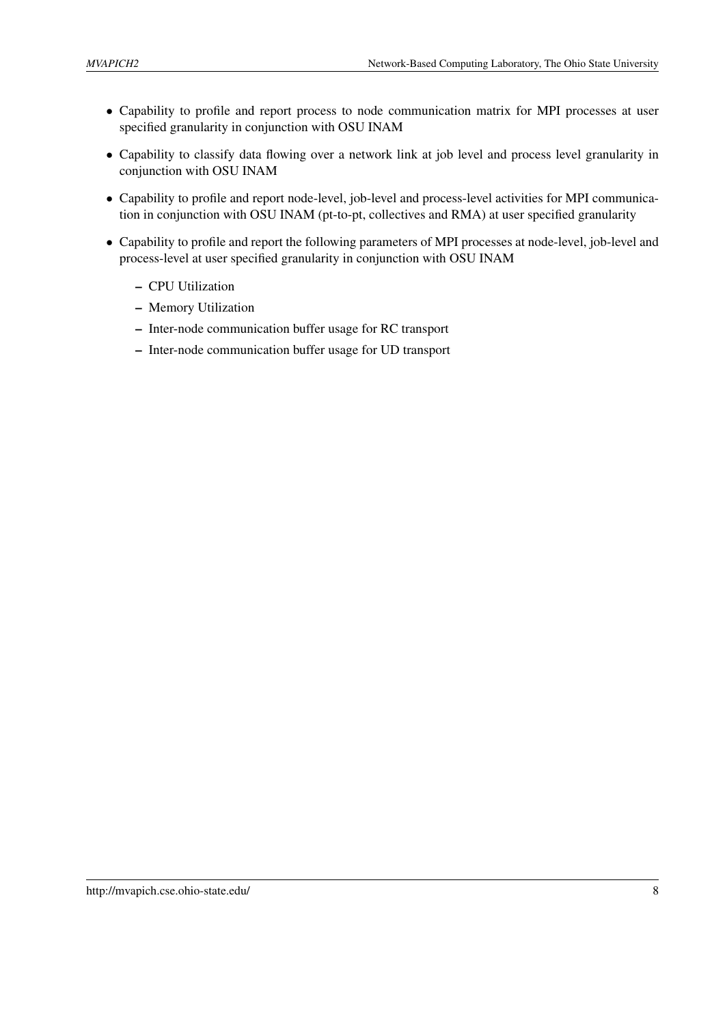- Capability to profile and report process to node communication matrix for MPI processes at user specified granularity in conjunction with OSU INAM
- Capability to classify data flowing over a network link at job level and process level granularity in conjunction with OSU INAM
- Capability to profile and report node-level, job-level and process-level activities for MPI communication in conjunction with OSU INAM (pt-to-pt, collectives and RMA) at user specified granularity
- Capability to profile and report the following parameters of MPI processes at node-level, job-level and process-level at user specified granularity in conjunction with OSU INAM
	- CPU Utilization
	- Memory Utilization
	- Inter-node communication buffer usage for RC transport
	- Inter-node communication buffer usage for UD transport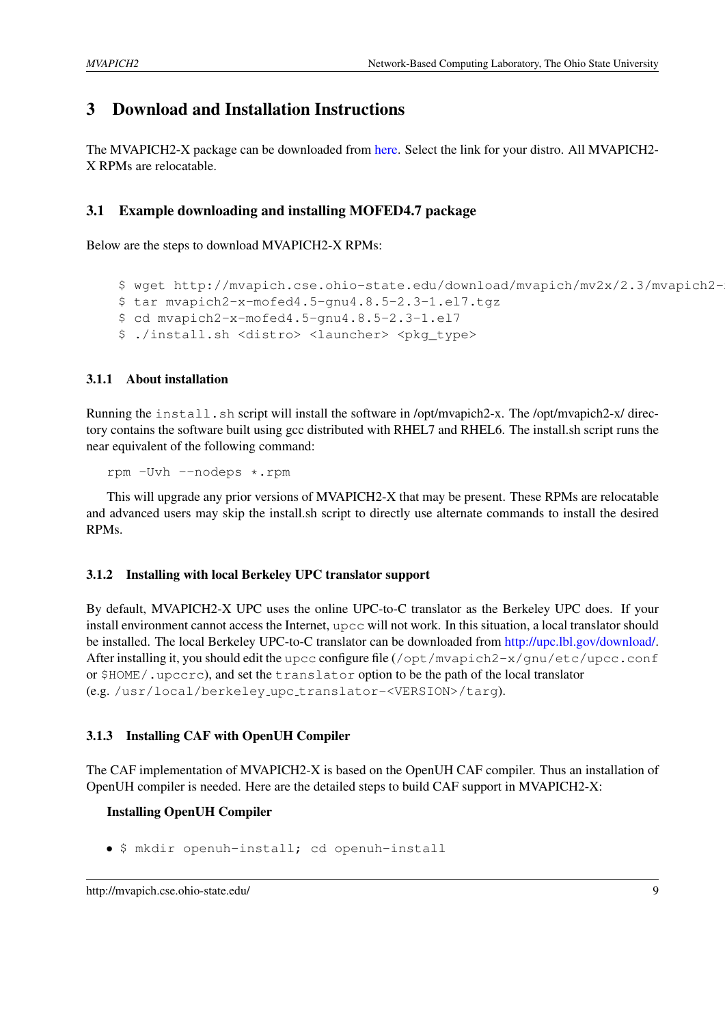# <span id="page-12-0"></span>3 Download and Installation Instructions

The MVAPICH2-X package can be downloaded from [here.](http://mvapich.cse.ohio-state.edu/downloads/#mv2x-23rc2) Select the link for your distro. All MVAPICH2- X RPMs are relocatable.

## <span id="page-12-1"></span>3.1 Example downloading and installing MOFED4.7 package

Below are the steps to download MVAPICH2-X RPMs:

```
$ wget http://mvapich.cse.ohio-state.edu/download/mvapich/mv2x/2.3/mvapich2-
$ tar mvapich2-x-mofed4.5-gnu4.8.5-2.3-1.el7.tgz
$ cd mvapich2-x-mofed4.5-gnu4.8.5-2.3-1.el7
$ ./install.sh <distro> <launcher> <pkg type>
```
<span id="page-12-2"></span>3.1.1 About installation

Running the install.sh script will install the software in /opt/mvapich2-x. The /opt/mvapich2-x/ directory contains the software built using gcc distributed with RHEL7 and RHEL6. The install.sh script runs the near equivalent of the following command:

rpm -Uvh --nodeps \*.rpm

This will upgrade any prior versions of MVAPICH2-X that may be present. These RPMs are relocatable and advanced users may skip the install.sh script to directly use alternate commands to install the desired RPMs.

#### <span id="page-12-3"></span>3.1.2 Installing with local Berkeley UPC translator support

By default, MVAPICH2-X UPC uses the online UPC-to-C translator as the Berkeley UPC does. If your install environment cannot access the Internet, upcc will not work. In this situation, a local translator should be installed. The local Berkeley UPC-to-C translator can be downloaded from [http://upc.lbl.gov/download/.](http://upc.lbl.gov/download/) After installing it, you should edit the upcc configure file (/opt/mvapich2-x/qnu/etc/upcc.conf or \$HOME/.upccrc), and set the translator option to be the path of the local translator (e.g. /usr/local/berkeley upc translator-<VERSION>/targ).

#### <span id="page-12-4"></span>3.1.3 Installing CAF with OpenUH Compiler

The CAF implementation of MVAPICH2-X is based on the OpenUH CAF compiler. Thus an installation of OpenUH compiler is needed. Here are the detailed steps to build CAF support in MVAPICH2-X:

#### Installing OpenUH Compiler

• \$ mkdir openuh-install; cd openuh-install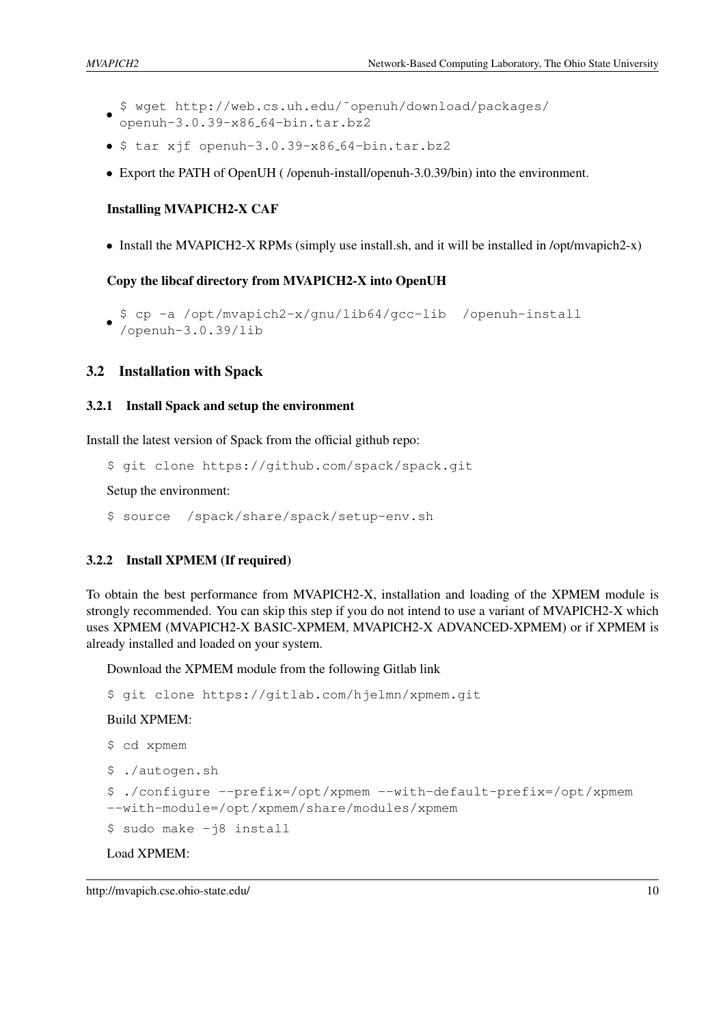- \$ wget http://web.cs.uh.edu/˜openuh/download/packages/ openuh-3.0.39-x86 64-bin.tar.bz2
- $\bullet$  \$ tar xjf openuh-3.0.39-x86\_64-bin.tar.bz2
- Export the PATH of OpenUH ( /openuh-install/openuh-3.0.39/bin) into the environment.

#### Installing MVAPICH2-X CAF

• Install the MVAPICH2-X RPMs (simply use install.sh, and it will be installed in /opt/mvapich2-x)

Copy the libcaf directory from MVAPICH2-X into OpenUH

```
•
$ cp -a /opt/mvapich2-x/gnu/lib64/gcc-lib /openuh-install
 /openuh-3.0.39/lib
```
#### <span id="page-13-0"></span>3.2 Installation with Spack

#### <span id="page-13-1"></span>3.2.1 Install Spack and setup the environment

Install the latest version of Spack from the official github repo:

\$ git clone https://github.com/spack/spack.git

Setup the environment:

\$ source /spack/share/spack/setup-env.sh

#### <span id="page-13-2"></span>3.2.2 Install XPMEM (If required)

To obtain the best performance from MVAPICH2-X, installation and loading of the XPMEM module is strongly recommended. You can skip this step if you do not intend to use a variant of MVAPICH2-X which uses XPMEM (MVAPICH2-X BASIC-XPMEM, MVAPICH2-X ADVANCED-XPMEM) or if XPMEM is already installed and loaded on your system.

Download the XPMEM module from the following Gitlab link

```
$ git clone https://gitlab.com/hjelmn/xpmem.git
```
Build XPMEM:

```
$ cd xpmem
$ ./autogen.sh
$ ./configure --prefix=/opt/xpmem --with-default-prefix=/opt/xpmem
--with-module=/opt/xpmem/share/modules/xpmem
$ sudo make -j8 install
```
Load XPMEM:

```
http://mvapich.cse.ohio-state.edu/ 10
```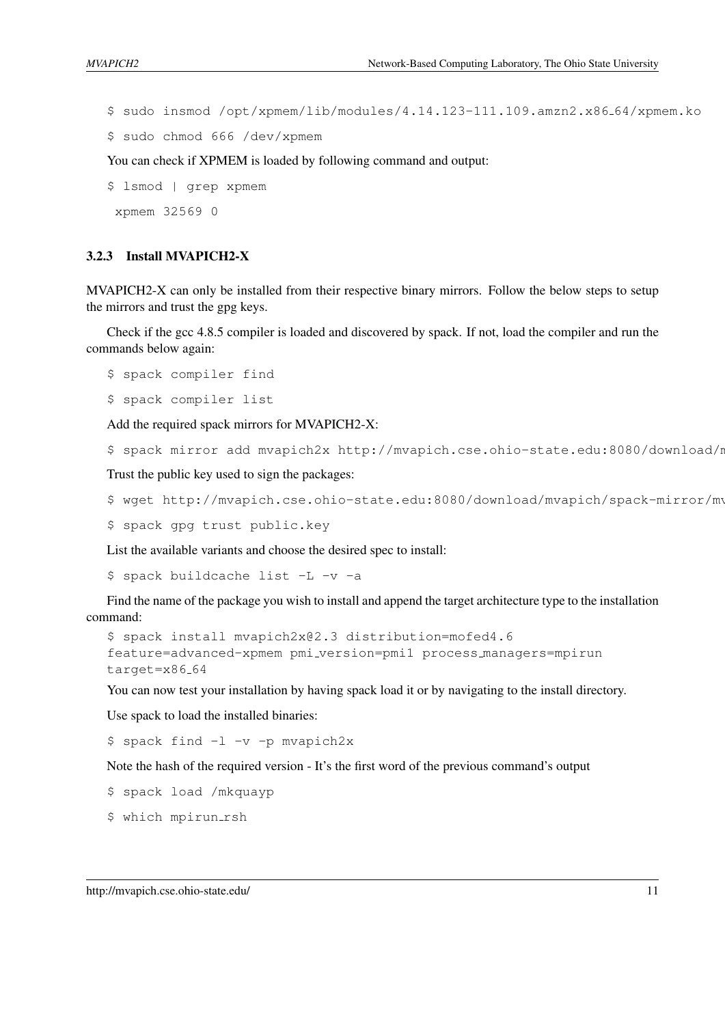\$ sudo insmod /opt/xpmem/lib/modules/4.14.123-111.109.amzn2.x86 64/xpmem.ko

\$ sudo chmod 666 /dev/xpmem

You can check if XPMEM is loaded by following command and output:

\$ lsmod | grep xpmem

xpmem 32569 0

#### <span id="page-14-0"></span>3.2.3 Install MVAPICH2-X

MVAPICH2-X can only be installed from their respective binary mirrors. Follow the below steps to setup the mirrors and trust the gpg keys.

Check if the gcc 4.8.5 compiler is loaded and discovered by spack. If not, load the compiler and run the commands below again:

\$ spack compiler find

```
$ spack compiler list
```
Add the required spack mirrors for MVAPICH2-X:

\$ spack mirror add mvapich2x http://mvapich.cse.ohio-state.edu:8080/download/m

Trust the public key used to sign the packages:

```
$ wget http://mvapich.cse.ohio-state.edu:8080/download/mvapich/spack-mirror/mv
```
\$ spack gpg trust public.key

List the available variants and choose the desired spec to install:

\$ spack buildcache list -L -v -a

Find the name of the package you wish to install and append the target architecture type to the installation command:

```
$ spack install mvapich2x@2.3 distribution=mofed4.6
feature=advanced-xpmem pmi version=pmi1 process managers=mpirun
target=x86 64
```
You can now test your installation by having spack load it or by navigating to the install directory.

Use spack to load the installed binaries:

\$ spack find -l -v -p mvapich2x

Note the hash of the required version - It's the first word of the previous command's output

\$ spack load /mkquayp

\$ which mpirun\_rsh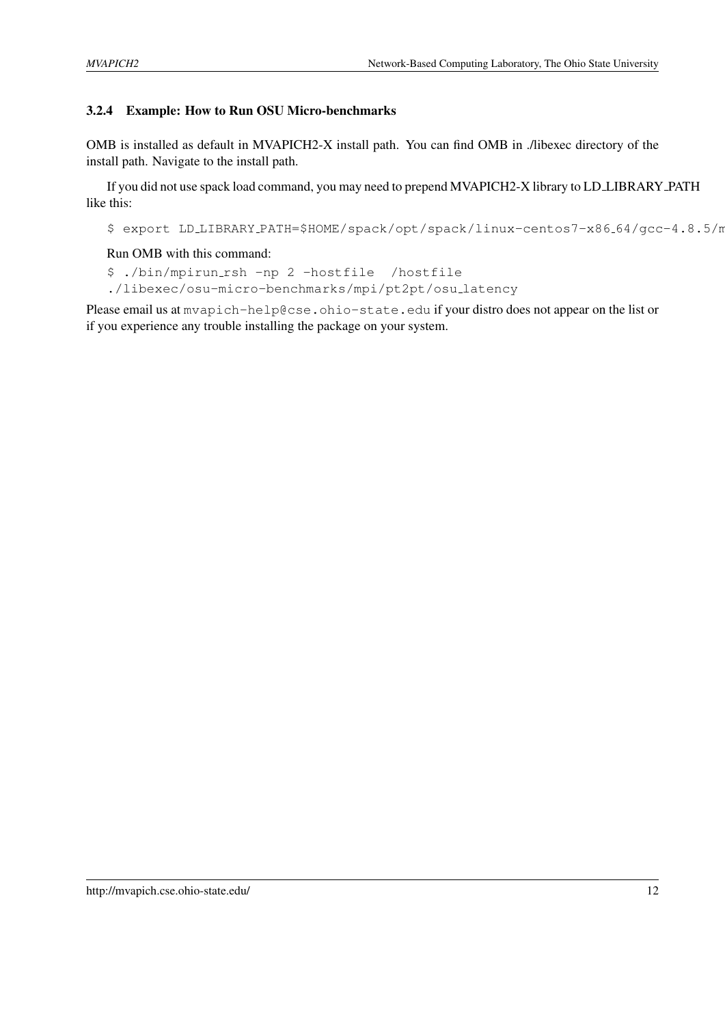## <span id="page-15-0"></span>3.2.4 Example: How to Run OSU Micro-benchmarks

OMB is installed as default in MVAPICH2-X install path. You can find OMB in ./libexec directory of the install path. Navigate to the install path.

If you did not use spack load command, you may need to prepend MVAPICH2-X library to LD LIBRARY PATH like this:

\$ export LD\_LIBRARY\_PATH=\$HOME/spack/opt/spack/linux-centos7-x86\_64/gcc-4.8.5/n

#### Run OMB with this command:

\$ ./bin/mpirun rsh -np 2 -hostfile /hostfile

./libexec/osu-micro-benchmarks/mpi/pt2pt/osu latency

Please email us at mvapich-help@cse.ohio-state.edu if your distro does not appear on the list or if you experience any trouble installing the package on your system.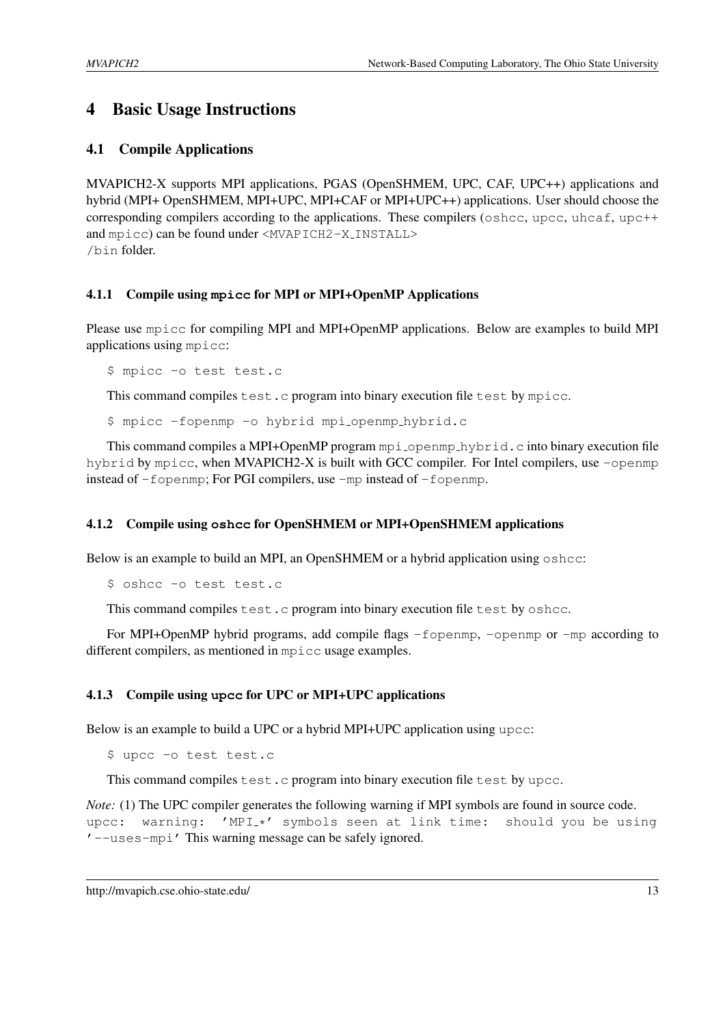# <span id="page-16-0"></span>4 Basic Usage Instructions

## <span id="page-16-1"></span>4.1 Compile Applications

MVAPICH2-X supports MPI applications, PGAS (OpenSHMEM, UPC, CAF, UPC++) applications and hybrid (MPI+ OpenSHMEM, MPI+UPC, MPI+CAF or MPI+UPC++) applications. User should choose the corresponding compilers according to the applications. These compilers (oshcc, upcc, uhcaf, upc++ and mpicc) can be found under <MVAPICH2-X INSTALL> /bin folder.

#### <span id="page-16-2"></span>4.1.1 Compile using **mpicc** for MPI or MPI+OpenMP Applications

Please use mpicc for compiling MPI and MPI+OpenMP applications. Below are examples to build MPI applications using mpicc:

\$ mpicc -o test test.c

This command compiles test.c program into binary execution file test by mpicc.

\$ mpicc -fopenmp -o hybrid mpi openmp hybrid.c

This command compiles a MPI+OpenMP program  $mpi$ -openmp-hybrid.c into binary execution file hybrid by mpicc, when MVAPICH2-X is built with GCC compiler. For Intel compilers, use -openmp instead of -fopenmp; For PGI compilers, use -mp instead of -fopenmp.

#### <span id="page-16-3"></span>4.1.2 Compile using **oshcc** for OpenSHMEM or MPI+OpenSHMEM applications

Below is an example to build an MPI, an OpenSHMEM or a hybrid application using oshcc:

\$ oshcc -o test test.c

This command compiles test.c program into binary execution file test by oshcc.

For MPI+OpenMP hybrid programs, add compile flags -fopenmp, -openmp or -mp according to different compilers, as mentioned in mpicc usage examples.

#### <span id="page-16-4"></span>4.1.3 Compile using **upcc** for UPC or MPI+UPC applications

Below is an example to build a UPC or a hybrid MPI+UPC application using upcc:

\$ upcc -o test test.c

This command compiles test.c program into binary execution file test by upcc.

*Note:* (1) The UPC compiler generates the following warning if MPI symbols are found in source code. upcc: warning: 'MPI\_\*' symbols seen at link time: should you be using '--uses-mpi' This warning message can be safely ignored.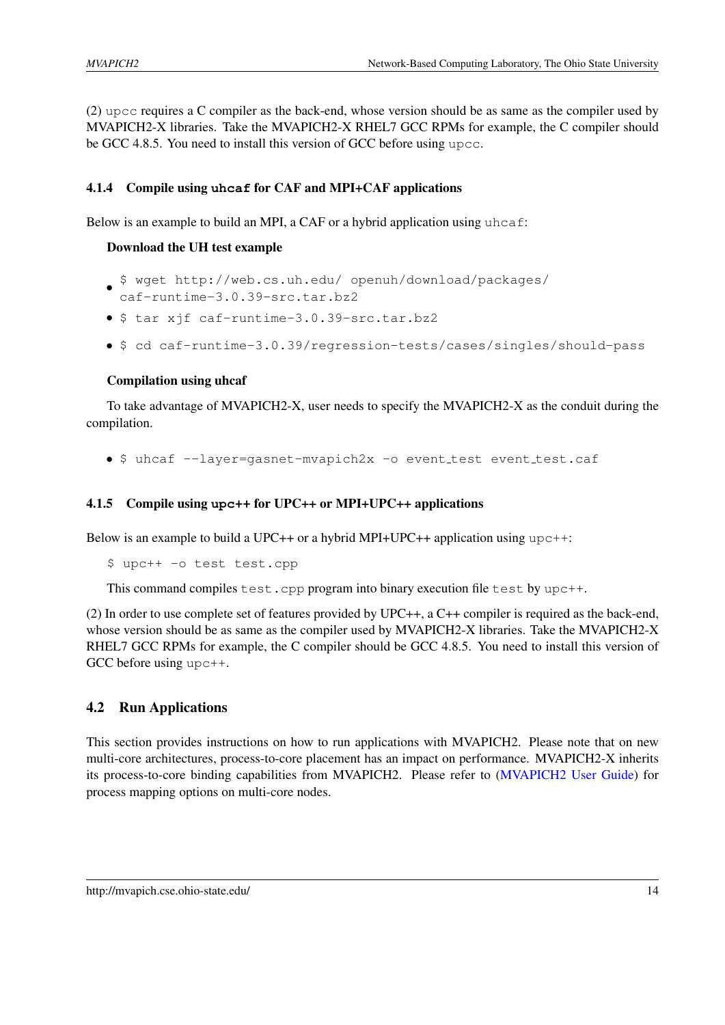(2) upcc requires a C compiler as the back-end, whose version should be as same as the compiler used by MVAPICH2-X libraries. Take the MVAPICH2-X RHEL7 GCC RPMs for example, the C compiler should be GCC 4.8.5. You need to install this version of GCC before using upcc.

## <span id="page-17-0"></span>4.1.4 Compile using **uhcaf** for CAF and MPI+CAF applications

Below is an example to build an MPI, a CAF or a hybrid application using  $\mu$ hcaf:

#### Download the UH test example

- \$ wget http://web.cs.uh.edu/ openuh/download/packages/
- caf-runtime-3.0.39-src.tar.bz2
- \$ tar xjf caf-runtime-3.0.39-src.tar.bz2
- \$ cd caf-runtime-3.0.39/regression-tests/cases/singles/should-pass

#### Compilation using uhcaf

To take advantage of MVAPICH2-X, user needs to specify the MVAPICH2-X as the conduit during the compilation.

• \$ uhcaf --layer=gasnet-mvapich2x -o event test event test.caf

#### <span id="page-17-1"></span>4.1.5 Compile using **upc++** for UPC++ or MPI+UPC++ applications

Below is an example to build a UPC++ or a hybrid MPI+UPC++ application using upc++:

\$ upc++ -o test test.cpp

This command compiles test.cpp program into binary execution file test by upc++.

(2) In order to use complete set of features provided by UPC++, a C++ compiler is required as the back-end, whose version should be as same as the compiler used by MVAPICH2-X libraries. Take the MVAPICH2-X RHEL7 GCC RPMs for example, the C compiler should be GCC 4.8.5. You need to install this version of GCC before using upc++.

#### <span id="page-17-2"></span>4.2 Run Applications

This section provides instructions on how to run applications with MVAPICH2. Please note that on new multi-core architectures, process-to-core placement has an impact on performance. MVAPICH2-X inherits its process-to-core binding capabilities from MVAPICH2. Please refer to [\(MVAPICH2 User Guide\)](http://mvapich.cse.ohio-state.edu/support/) for process mapping options on multi-core nodes.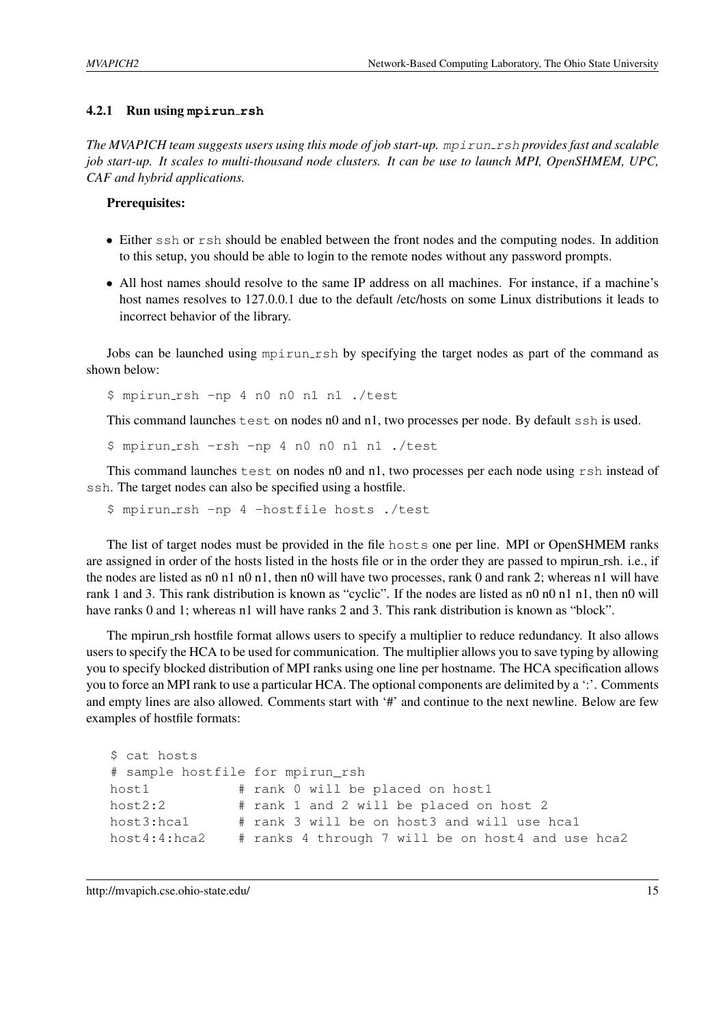#### <span id="page-18-0"></span>4.2.1 Run using **mpirun rsh**

*The MVAPICH team suggests users using this mode of job start-up.* mpirun\_rsh *provides fast and scalable job start-up. It scales to multi-thousand node clusters. It can be use to launch MPI, OpenSHMEM, UPC, CAF and hybrid applications.*

#### Prerequisites:

- Either ssh or rsh should be enabled between the front nodes and the computing nodes. In addition to this setup, you should be able to login to the remote nodes without any password prompts.
- All host names should resolve to the same IP address on all machines. For instance, if a machine's host names resolves to 127.0.0.1 due to the default /etc/hosts on some Linux distributions it leads to incorrect behavior of the library.

Jobs can be launched using mpirun rsh by specifying the target nodes as part of the command as shown below:

\$ mpirun rsh -np 4 n0 n0 n1 n1 ./test

This command launches  $test$  on nodes n0 and n1, two processes per node. By default ssh is used.

\$ mpirun rsh -rsh -np 4 n0 n0 n1 n1 ./test

This command launches test on nodes n0 and n1, two processes per each node using rsh instead of ssh. The target nodes can also be specified using a hostfile.

\$ mpirun rsh -np 4 -hostfile hosts ./test

The list of target nodes must be provided in the file hosts one per line. MPI or OpenSHMEM ranks are assigned in order of the hosts listed in the hosts file or in the order they are passed to mpirun rsh. i.e., if the nodes are listed as n0 n1 n0 n1, then n0 will have two processes, rank 0 and rank 2; whereas n1 will have rank 1 and 3. This rank distribution is known as "cyclic". If the nodes are listed as n0 n0 n1 n1, then n0 will have ranks 0 and 1; whereas n1 will have ranks 2 and 3. This rank distribution is known as "block".

The mpirun rsh hostfile format allows users to specify a multiplier to reduce redundancy. It also allows users to specify the HCA to be used for communication. The multiplier allows you to save typing by allowing you to specify blocked distribution of MPI ranks using one line per hostname. The HCA specification allows you to force an MPI rank to use a particular HCA. The optional components are delimited by a ':'. Comments and empty lines are also allowed. Comments start with '#' and continue to the next newline. Below are few examples of hostfile formats:

```
$ cat hosts
# sample hostfile for mpirun rsh
host1 # rank 0 will be placed on host1
host2:2 # rank 1 and 2 will be placed on host 2
host3:hca1 # rank 3 will be on host3 and will use hca1
host4:4:hca2 # ranks 4 through 7 will be on host4 and use hca2
```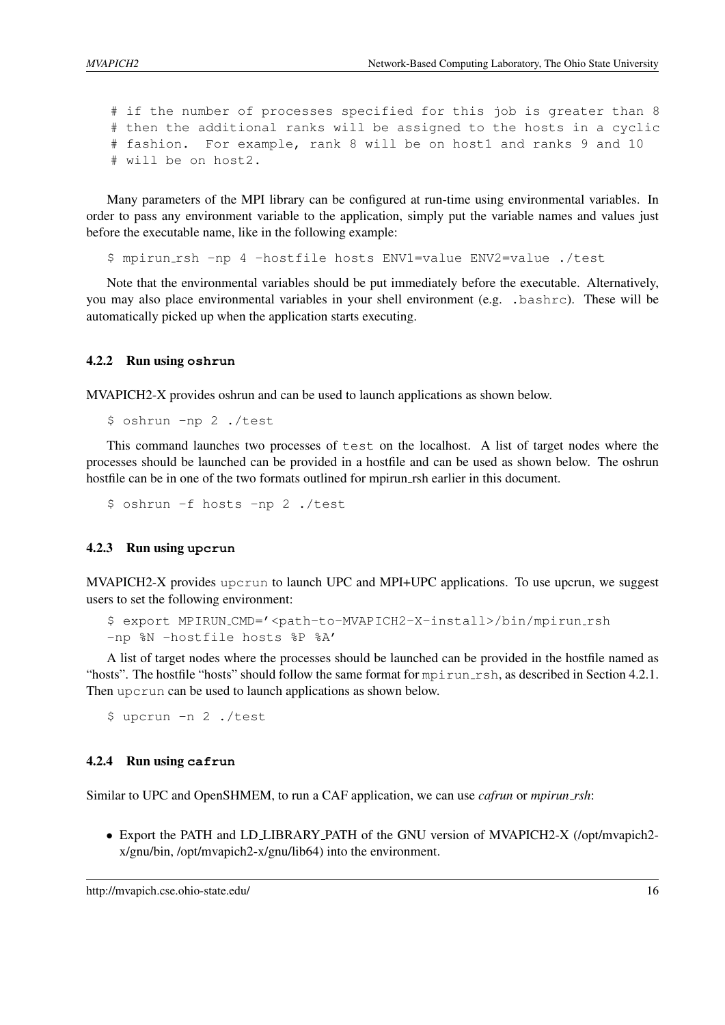```
# if the number of processes specified for this job is greater than 8
# then the additional ranks will be assigned to the hosts in a cyclic
# fashion. For example, rank 8 will be on host1 and ranks 9 and 10
# will be on host2.
```
Many parameters of the MPI library can be configured at run-time using environmental variables. In order to pass any environment variable to the application, simply put the variable names and values just before the executable name, like in the following example:

\$ mpirun rsh -np 4 -hostfile hosts ENV1=value ENV2=value ./test

Note that the environmental variables should be put immediately before the executable. Alternatively, you may also place environmental variables in your shell environment (e.g. .bashrc). These will be automatically picked up when the application starts executing.

#### <span id="page-19-0"></span>4.2.2 Run using **oshrun**

MVAPICH2-X provides oshrun and can be used to launch applications as shown below.

```
$ oshrun -np 2 ./test
```
This command launches two processes of test on the localhost. A list of target nodes where the processes should be launched can be provided in a hostfile and can be used as shown below. The oshrun hostfile can be in one of the two formats outlined for mpirun rsh earlier in this document.

\$ oshrun -f hosts -np 2 ./test

#### <span id="page-19-1"></span>4.2.3 Run using **upcrun**

MVAPICH2-X provides upcrun to launch UPC and MPI+UPC applications. To use upcrun, we suggest users to set the following environment:

```
$ export MPIRUN CMD='<path-to-MVAPICH2-X-install>/bin/mpirun rsh
-np %N -hostfile hosts %P %A'
```
A list of target nodes where the processes should be launched can be provided in the hostfile named as "hosts". The hostfile "hosts" should follow the same format for mpirun rsh, as described in Section [4.2.1.](#page-18-0) Then upcrun can be used to launch applications as shown below.

\$ upcrun -n 2 ./test

#### <span id="page-19-2"></span>4.2.4 Run using **cafrun**

Similar to UPC and OpenSHMEM, to run a CAF application, we can use *cafrun* or *mpirun rsh*:

• Export the PATH and LD LIBRARY PATH of the GNU version of MVAPICH2-X (/opt/mvapich2 x/gnu/bin, /opt/mvapich2-x/gnu/lib64) into the environment.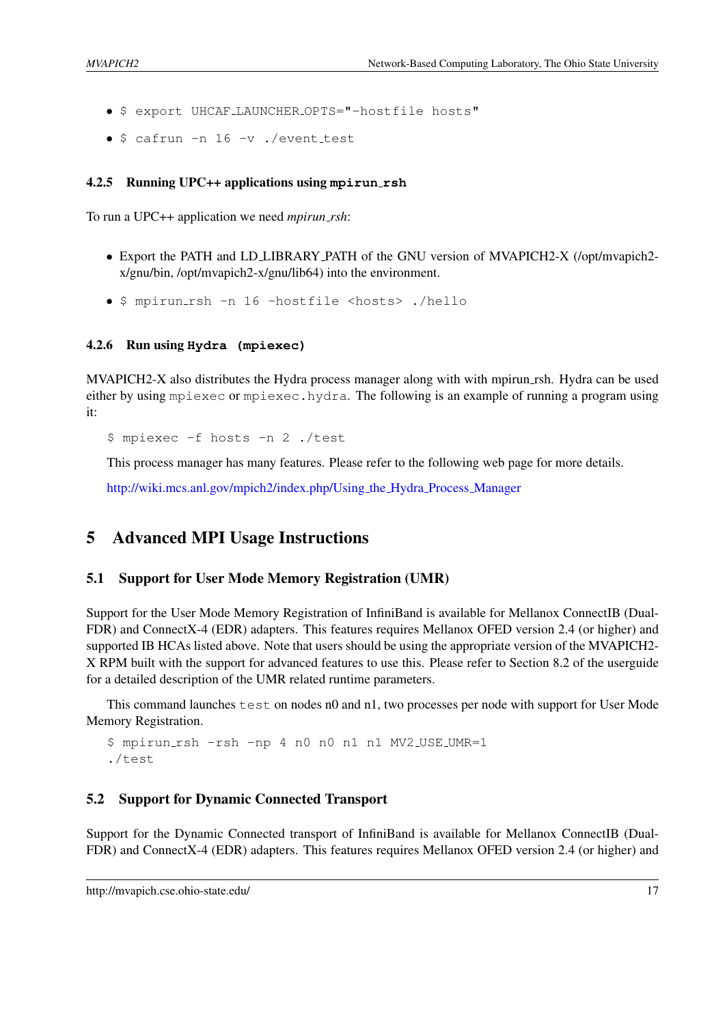- \$ export UHCAF LAUNCHER OPTS="-hostfile hosts"
- \$ cafrun -n 16 -v ./event\_test

#### <span id="page-20-0"></span>4.2.5 Running UPC++ applications using **mpirun rsh**

To run a UPC++ application we need *mpirun rsh*:

- Export the PATH and LD LIBRARY PATH of the GNU version of MVAPICH2-X (/opt/mvapich2 x/gnu/bin, /opt/mvapich2-x/gnu/lib64) into the environment.
- \$ mpirun rsh -n 16 -hostfile <hosts> ./hello

#### <span id="page-20-1"></span>4.2.6 Run using **Hydra (mpiexec)**

MVAPICH2-X also distributes the Hydra process manager along with with mpirun\_rsh. Hydra can be used either by using mpiexec or mpiexec.hydra. The following is an example of running a program using it:

\$ mpiexec -f hosts -n 2 ./test

This process manager has many features. Please refer to the following web page for more details.

[http://wiki.mcs.anl.gov/mpich2/index.php/Using](http://wiki.mcs.anl.gov/mpich2/index.php/Using_the_Hydra_Process_Manager) the Hydra Process Manager

## <span id="page-20-2"></span>5 Advanced MPI Usage Instructions

#### <span id="page-20-3"></span>5.1 Support for User Mode Memory Registration (UMR)

Support for the User Mode Memory Registration of InfiniBand is available for Mellanox ConnectIB (Dual-FDR) and ConnectX-4 (EDR) adapters. This features requires Mellanox OFED version 2.4 (or higher) and supported IB HCAs listed above. Note that users should be using the appropriate version of the MVAPICH2- X RPM built with the support for advanced features to use this. Please refer to Section [8.2](#page-35-1) of the userguide for a detailed description of the UMR related runtime parameters.

This command launches  $test$  on nodes n0 and n1, two processes per node with support for User Mode Memory Registration.

```
$ mpirun rsh -rsh -np 4 n0 n0 n1 n1 MV2 USE UMR=1
./test
```
#### <span id="page-20-4"></span>5.2 Support for Dynamic Connected Transport

Support for the Dynamic Connected transport of InfiniBand is available for Mellanox ConnectIB (Dual-FDR) and ConnectX-4 (EDR) adapters. This features requires Mellanox OFED version 2.4 (or higher) and

http://mvapich.cse.ohio-state.edu/ 17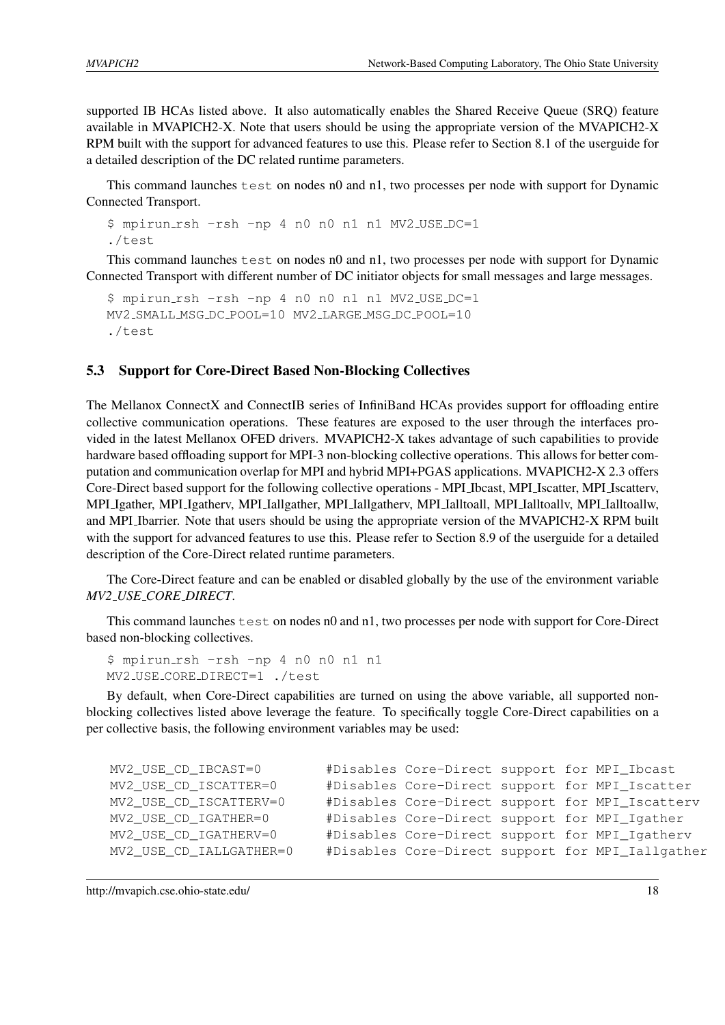supported IB HCAs listed above. It also automatically enables the Shared Receive Queue (SRQ) feature available in MVAPICH2-X. Note that users should be using the appropriate version of the MVAPICH2-X RPM built with the support for advanced features to use this. Please refer to Section [8.1](#page-34-1) of the userguide for a detailed description of the DC related runtime parameters.

This command launches  $test$  on nodes n0 and n1, two processes per node with support for Dynamic Connected Transport.

```
$ mpirun rsh -rsh -np 4 n0 n0 n1 n1 MV2 USE DC=1
./test
```
This command launches  $test$  on nodes n0 and n1, two processes per node with support for Dynamic Connected Transport with different number of DC initiator objects for small messages and large messages.

```
$ mpirun rsh -rsh -np 4 n0 n0 n1 n1 MV2 USE DC=1
MV2 SMALL MSG DC POOL=10 MV2 LARGE MSG DC POOL=10
./test
```
## <span id="page-21-0"></span>5.3 Support for Core-Direct Based Non-Blocking Collectives

The Mellanox ConnectX and ConnectIB series of InfiniBand HCAs provides support for offloading entire collective communication operations. These features are exposed to the user through the interfaces provided in the latest Mellanox OFED drivers. MVAPICH2-X takes advantage of such capabilities to provide hardware based offloading support for MPI-3 non-blocking collective operations. This allows for better computation and communication overlap for MPI and hybrid MPI+PGAS applications. MVAPICH2-X 2.3 offers Core-Direct based support for the following collective operations - MPI Ibcast, MPI Iscatter, MPI Iscatterv, MPI Igather, MPI Igatherv, MPI Iallgather, MPI Iallgatherv, MPI Ialltoall, MPI Ialltoallv, MPI Ialltoallw, and MPI Ibarrier. Note that users should be using the appropriate version of the MVAPICH2-X RPM built with the support for advanced features to use this. Please refer to Section [8.9](#page-42-3) of the userguide for a detailed description of the Core-Direct related runtime parameters.

The Core-Direct feature and can be enabled or disabled globally by the use of the environment variable *MV2 USE CORE DIRECT*.

This command launches test on nodes n0 and n1, two processes per node with support for Core-Direct based non-blocking collectives.

```
$ mpirun rsh -rsh -np 4 n0 n0 n1 n1
MV2 USE CORE DIRECT=1 ./test
```
By default, when Core-Direct capabilities are turned on using the above variable, all supported nonblocking collectives listed above leverage the feature. To specifically toggle Core-Direct capabilities on a per collective basis, the following environment variables may be used:

```
MV2_USE_CD_IBCAST=0 #Disables Core-Direct support for MPI_Ibcast
MV2_USE_CD_ISCATTER=0 #Disables Core-Direct support for MPI_Iscatter
MV2_USE_CD_ISCATTERV=0 #Disables Core-Direct support for MPI_Iscatterv
MV2_USE_CD_IGATHER=0 #Disables Core-Direct support for MPI_Igather
MV2_USE_CD_IGATHERV=0 #Disables Core-Direct support for MPI_Igatherv
MV2_USE_CD_IALLGATHER=0 #Disables Core-Direct support for MPI_Iallgather
```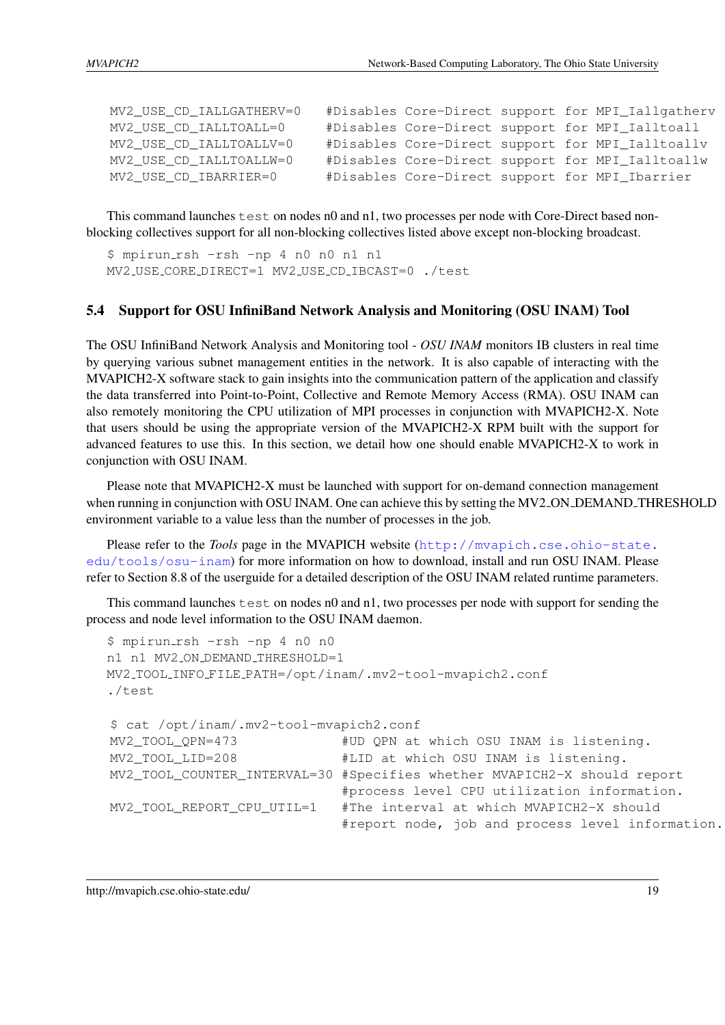| MV2 USE CD IALLGATHERV=0 |  |  | #Disables Core-Direct support for MPI_Iallgatherv |
|--------------------------|--|--|---------------------------------------------------|
| MV2 USE CD IALLTOALL=0   |  |  | #Disables Core-Direct support for MPI_Ialltoall   |
| MV2 USE CD IALLTOALLV=0  |  |  | #Disables Core-Direct support for MPI_Ialltoallv  |
| MV2_USE_CD_IALLTOALLW=0  |  |  | #Disables Core-Direct support for MPI_Ialltoallw  |
| MV2_USE_CD_IBARRIER=0    |  |  | #Disables Core-Direct support for MPI_Ibarrier    |

This command launches  $test$  on nodes n0 and n1, two processes per node with Core-Direct based nonblocking collectives support for all non-blocking collectives listed above except non-blocking broadcast.

\$ mpirun rsh -rsh -np 4 n0 n0 n1 n1 MV2 USE CORE DIRECT=1 MV2 USE CD IBCAST=0 ./test

#### <span id="page-22-0"></span>5.4 Support for OSU InfiniBand Network Analysis and Monitoring (OSU INAM) Tool

The OSU InfiniBand Network Analysis and Monitoring tool - *OSU INAM* monitors IB clusters in real time by querying various subnet management entities in the network. It is also capable of interacting with the MVAPICH2-X software stack to gain insights into the communication pattern of the application and classify the data transferred into Point-to-Point, Collective and Remote Memory Access (RMA). OSU INAM can also remotely monitoring the CPU utilization of MPI processes in conjunction with MVAPICH2-X. Note that users should be using the appropriate version of the MVAPICH2-X RPM built with the support for advanced features to use this. In this section, we detail how one should enable MVAPICH2-X to work in conjunction with OSU INAM.

Please note that MVAPICH2-X must be launched with support for on-demand connection management when running in conjunction with OSU INAM. One can achieve this by setting the MV2\_ON\_DEMAND\_THRESHOLD environment variable to a value less than the number of processes in the job.

Please refer to the *Tools* page in the MVAPICH website ([http://mvapich.cse.ohio-state.](http://mvapich.cse.ohio-state.edu/tools/osu-inam) [edu/tools/osu-inam](http://mvapich.cse.ohio-state.edu/tools/osu-inam)) for more information on how to download, install and run OSU INAM. Please refer to Section [8.8](#page-41-0) of the userguide for a detailed description of the OSU INAM related runtime parameters.

This command launches  $test$  on nodes n0 and n1, two processes per node with support for sending the process and node level information to the OSU INAM daemon.

```
$ mpirun rsh -rsh -np 4 n0 n0
n1 n1 MV2 ON DEMAND THRESHOLD=1
MV2 TOOL INFO FILE PATH=/opt/inam/.mv2-tool-mvapich2.conf
./test
$ cat /opt/inam/.mv2-tool-mvapich2.conf
MV2_TOOL_QPN=473 #UD QPN at which OSU INAM is listening.
MV2_TOOL_LID=208 #LID at which OSU INAM is listening.
MV2_TOOL_COUNTER_INTERVAL=30 #Specifies whether MVAPICH2-X should report
                            #process level CPU utilization information.
MV2 TOOL REPORT CPU UTIL=1 #The interval at which MVAPICH2-X should
                            #report node, job and process level information.
```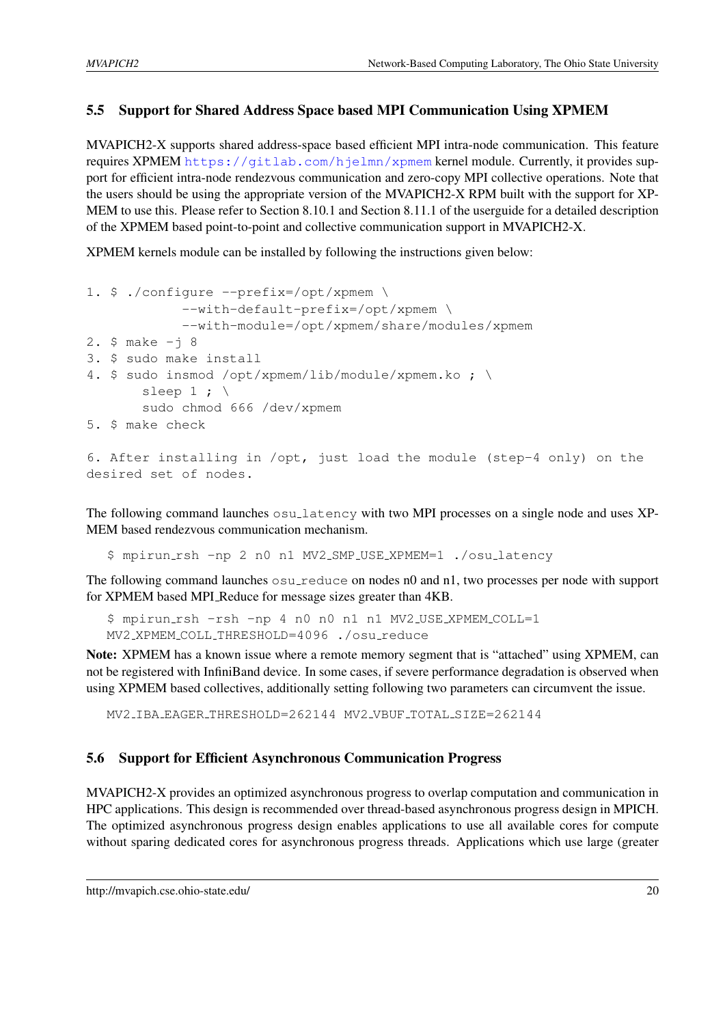#### <span id="page-23-0"></span>5.5 Support for Shared Address Space based MPI Communication Using XPMEM

MVAPICH2-X supports shared address-space based efficient MPI intra-node communication. This feature requires XPMEM <https://gitlab.com/hjelmn/xpmem> kernel module. Currently, it provides support for efficient intra-node rendezvous communication and zero-copy MPI collective operations. Note that the users should be using the appropriate version of the MVAPICH2-X RPM built with the support for XP-MEM to use this. Please refer to Section [8.10.1](#page-43-1) and Section [8.11.1](#page-43-3) of the userguide for a detailed description of the XPMEM based point-to-point and collective communication support in MVAPICH2-X.

XPMEM kernels module can be installed by following the instructions given below:

```
1. $ ./configure --prefix=/opt/xpmem \
            --with-default-prefix=/opt/xpmem \
            --with-module=/opt/xpmem/share/modules/xpmem
2. $ make -j 83. $ sudo make install
4. $ sudo insmod /opt/xpmem/lib/module/xpmem.ko ; \
       sleep 1 ; \backslashsudo chmod 666 /dev/xpmem
5. $ make check
```

```
6. After installing in /opt, just load the module (step-4 only) on the
desired set of nodes.
```
The following command launches osulatency with two MPI processes on a single node and uses XP-MEM based rendezvous communication mechanism.

\$ mpirun rsh -np 2 n0 n1 MV2 SMP USE XPMEM=1 ./osu latency

The following command launches osu\_reduce on nodes n0 and n1, two processes per node with support for XPMEM based MPI Reduce for message sizes greater than 4KB.

```
$ mpirun rsh -rsh -np 4 n0 n0 n1 n1 MV2 USE XPMEM COLL=1
MV2 XPMEM COLL THRESHOLD=4096 ./osu reduce
```
Note: XPMEM has a known issue where a remote memory segment that is "attached" using XPMEM, can not be registered with InfiniBand device. In some cases, if severe performance degradation is observed when using XPMEM based collectives, additionally setting following two parameters can circumvent the issue.

MV2 IBA EAGER THRESHOLD=262144 MV2 VBUF TOTAL SIZE=262144

## <span id="page-23-1"></span>5.6 Support for Efficient Asynchronous Communication Progress

MVAPICH2-X provides an optimized asynchronous progress to overlap computation and communication in HPC applications. This design is recommended over thread-based asynchronous progress design in MPICH. The optimized asynchronous progress design enables applications to use all available cores for compute without sparing dedicated cores for asynchronous progress threads. Applications which use large (greater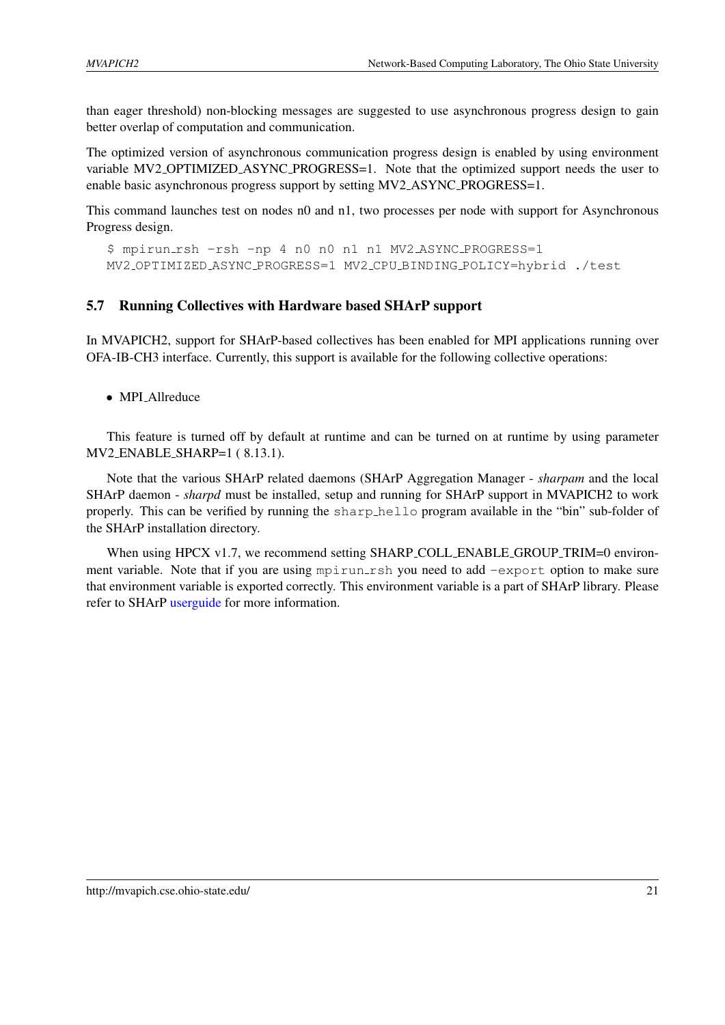than eager threshold) non-blocking messages are suggested to use asynchronous progress design to gain better overlap of computation and communication.

The optimized version of asynchronous communication progress design is enabled by using environment variable MV2 OPTIMIZED ASYNC PROGRESS=1. Note that the optimized support needs the user to enable basic asynchronous progress support by setting MV2 ASYNC PROGRESS=1.

This command launches test on nodes n0 and n1, two processes per node with support for Asynchronous Progress design.

```
$ mpirun rsh -rsh -np 4 n0 n0 n1 n1 MV2 ASYNC PROGRESS=1
MV2 OPTIMIZED ASYNC PROGRESS=1 MV2 CPU BINDING POLICY=hybrid ./test
```
#### <span id="page-24-0"></span>5.7 Running Collectives with Hardware based SHArP support

In MVAPICH2, support for SHArP-based collectives has been enabled for MPI applications running over OFA-IB-CH3 interface. Currently, this support is available for the following collective operations:

• MPI Allreduce

This feature is turned off by default at runtime and can be turned on at runtime by using parameter MV2 ENABLE SHARP=1 ( [8.13.1\)](#page-44-4).

Note that the various SHArP related daemons (SHArP Aggregation Manager - *sharpam* and the local SHArP daemon - *sharpd* must be installed, setup and running for SHArP support in MVAPICH2 to work properly. This can be verified by running the sharp hello program available in the "bin" sub-folder of the SHArP installation directory.

When using HPCX v1.7, we recommend setting SHARP COLL ENABLE GROUP TRIM=0 environment variable. Note that if you are using mpirun rsh you need to add  $-$ export option to make sure that environment variable is exported correctly. This environment variable is a part of SHArP library. Please refer to SHArP [userguide](http://www.mellanox.com/related-docs/prod_acceleration_software/SHARP_Deployment_Guide_v3.0.pdf) for more information.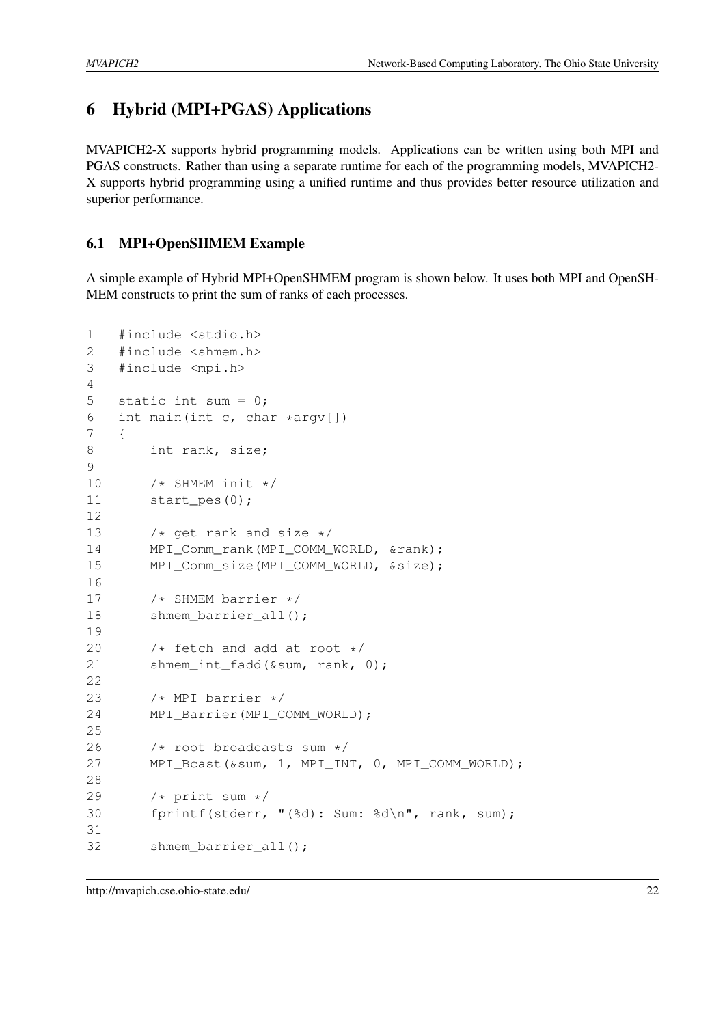# <span id="page-25-0"></span>6 Hybrid (MPI+PGAS) Applications

MVAPICH2-X supports hybrid programming models. Applications can be written using both MPI and PGAS constructs. Rather than using a separate runtime for each of the programming models, MVAPICH2- X supports hybrid programming using a unified runtime and thus provides better resource utilization and superior performance.

## <span id="page-25-1"></span>6.1 MPI+OpenSHMEM Example

A simple example of Hybrid MPI+OpenSHMEM program is shown below. It uses both MPI and OpenSH-MEM constructs to print the sum of ranks of each processes.

```
1 #include <stdio.h>
2 #include <shmem.h>
3 #include <mpi.h>
4
5 static int sum = 0;
6 int main(int c, char *argv[])
7 {
8 int rank, size;
9
10 /* SHMEM init */11 start_pes(0);
12
13 /* get rank and size */14 MPI Comm rank(MPI COMM WORLD, &rank);
15 MPI_Comm_size(MPI_COMM_WORLD, &size);
16
17 /* SHMEM barrier */
18 shmem_barrier_all();
19
20 /* fetch-and-add at root */21 shmem_int_fadd(&sum, rank, 0);
22
23 /* MPI barrier */
24 MPI_Barrier(MPI_COMM_WORLD);
25
26 /* root broadcasts sum */
27 MPI_Bcast(&sum, 1, MPI_INT, 0, MPI_COMM_WORLD);
28
29 /* print sum */30 fprintf(stderr, "(%d): Sum: %d\n", rank, sum);
31
32 shmem barrier all();
```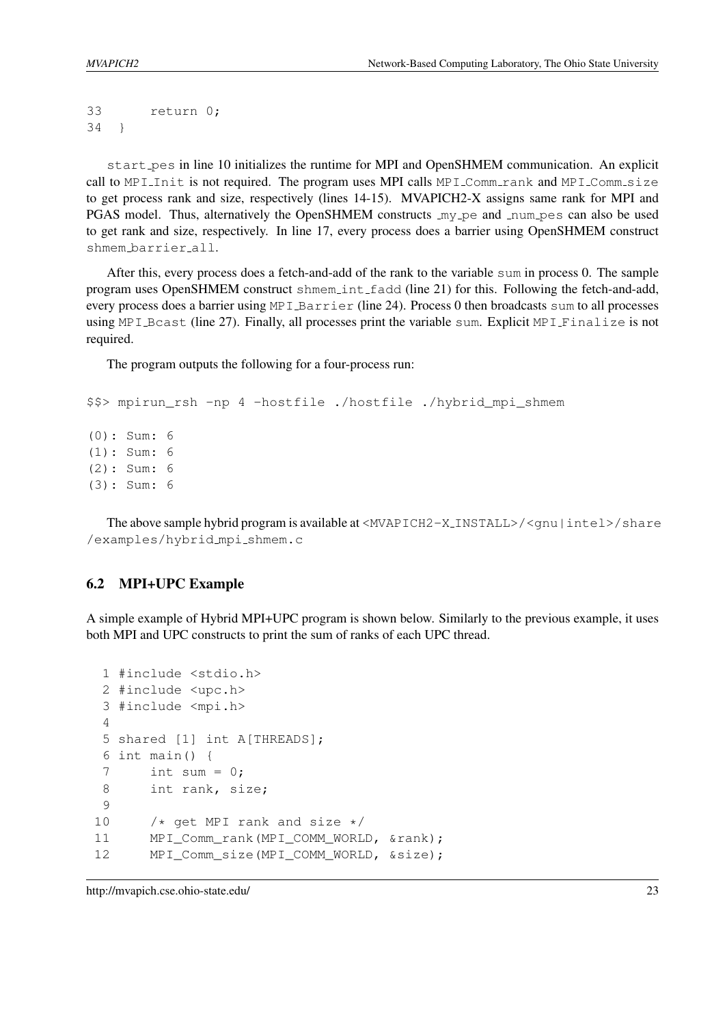33 return 0; 34 }

start pes in line 10 initializes the runtime for MPI and OpenSHMEM communication. An explicit call to MPI Init is not required. The program uses MPI calls MPI Comm rank and MPI Comm size to get process rank and size, respectively (lines 14-15). MVAPICH2-X assigns same rank for MPI and PGAS model. Thus, alternatively the OpenSHMEM constructs  $my\_pe$  and  $num\_pes$  can also be used to get rank and size, respectively. In line 17, every process does a barrier using OpenSHMEM construct shmem barrier all.

After this, every process does a fetch-and-add of the rank to the variable sum in process 0. The sample program uses OpenSHMEM construct shmem\_int\_fadd (line 21) for this. Following the fetch-and-add, every process does a barrier using MPI Barrier (line 24). Process 0 then broadcasts sum to all processes using MPI Bcast (line 27). Finally, all processes print the variable sum. Explicit MPI Finalize is not required.

The program outputs the following for a four-process run:

```
$$> mpirun rsh -np 4 -hostfile ./hostfile ./hybrid mpi shmem
(0): Sum: 6
(1): Sum: 6
(2): Sum: 6
(3): Sum: 6
```
The above sample hybrid program is available at  $\langle MVAPICH2-X_INSTALL\rangle / \langle qnu \rangle$  intel  $\rangle$  share /examples/hybrid mpi shmem.c

#### <span id="page-26-0"></span>6.2 MPI+UPC Example

A simple example of Hybrid MPI+UPC program is shown below. Similarly to the previous example, it uses both MPI and UPC constructs to print the sum of ranks of each UPC thread.

```
1 #include <stdio.h>
2 #include <upc.h>
3 #include <mpi.h>
4
5 shared [1] int A[THREADS];
6 int main() {
7 int sum = 0;
8 int rank, size;
9
10 /* get MPI rank and size */11 MPI_Comm_rank(MPI_COMM_WORLD, &rank);
12 MPI_Comm_size(MPI_COMM_WORLD, &size);
```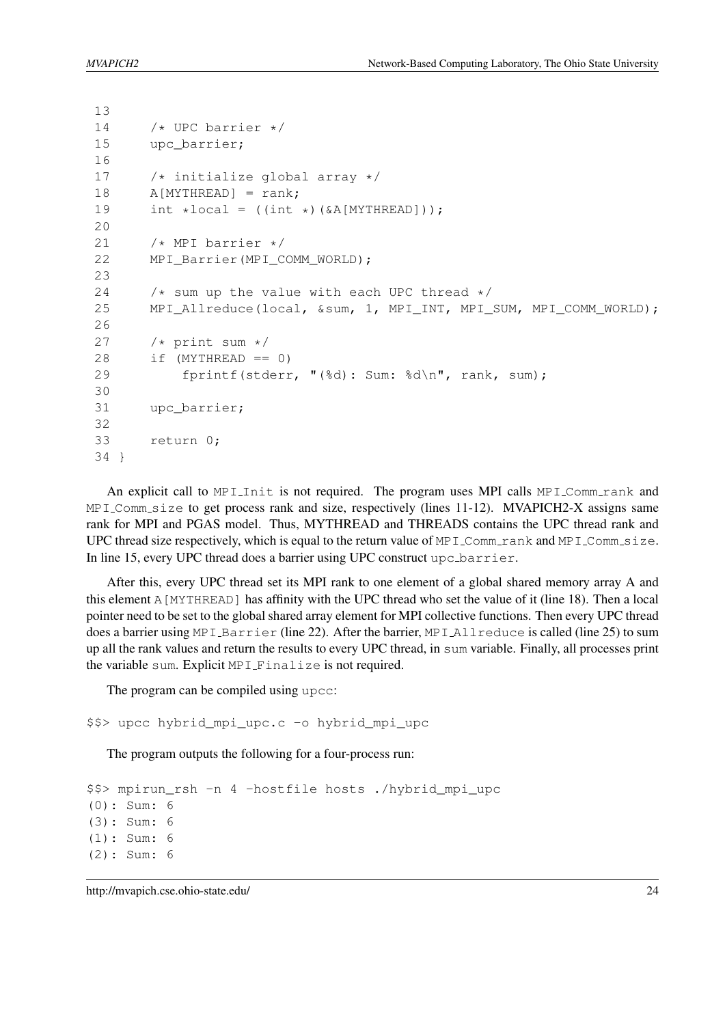13

```
14 /* UPC barrier */15 upc barrier;
16
17 /* initialize global array */
18 A[MYTHREAD] = rank;
19 int *local = ((int *)(\&A[MYTHREAD]));
2021 /* MPI barrier */22 MPI_Barrier(MPI_COMM_WORLD);
23
24 \rightarrow /* sum up the value with each UPC thread */25 MPI_Allreduce(local, &sum, 1, MPI_INT, MPI_SUM, MPI_COMM_WORLD);
26
27 /* print sum */28 if (MYTHREAD == 0)
29 fprintf(stderr, "(%d): Sum: %d\n", rank, sum);
30
31 upc barrier;
32
33 return 0;
34 }
```
An explicit call to MPI Init is not required. The program uses MPI calls  $MPI_{\text{Comm\_rank}}$  and MPI Comm size to get process rank and size, respectively (lines 11-12). MVAPICH2-X assigns same rank for MPI and PGAS model. Thus, MYTHREAD and THREADS contains the UPC thread rank and UPC thread size respectively, which is equal to the return value of MPI Comm rank and MPI Comm size. In line 15, every UPC thread does a barrier using UPC construct upc barrier.

After this, every UPC thread set its MPI rank to one element of a global shared memory array A and this element A[MYTHREAD] has affinity with the UPC thread who set the value of it (line 18). Then a local pointer need to be set to the global shared array element for MPI collective functions. Then every UPC thread does a barrier using MPI Barrier (line 22). After the barrier, MPI Allreduce is called (line 25) to sum up all the rank values and return the results to every UPC thread, in sum variable. Finally, all processes print the variable sum. Explicit MPI Finalize is not required.

The program can be compiled using upcc:

```
$$> upcc hybrid_mpi_upc.c -o hybrid_mpi_upc
```
The program outputs the following for a four-process run:

```
$$> mpirun_rsh -n 4 -hostfile hosts ./hybrid_mpi_upc
(0): Sum: 6
(3): Sum: 6
(1): Sum: 6
(2): Sum: 6
```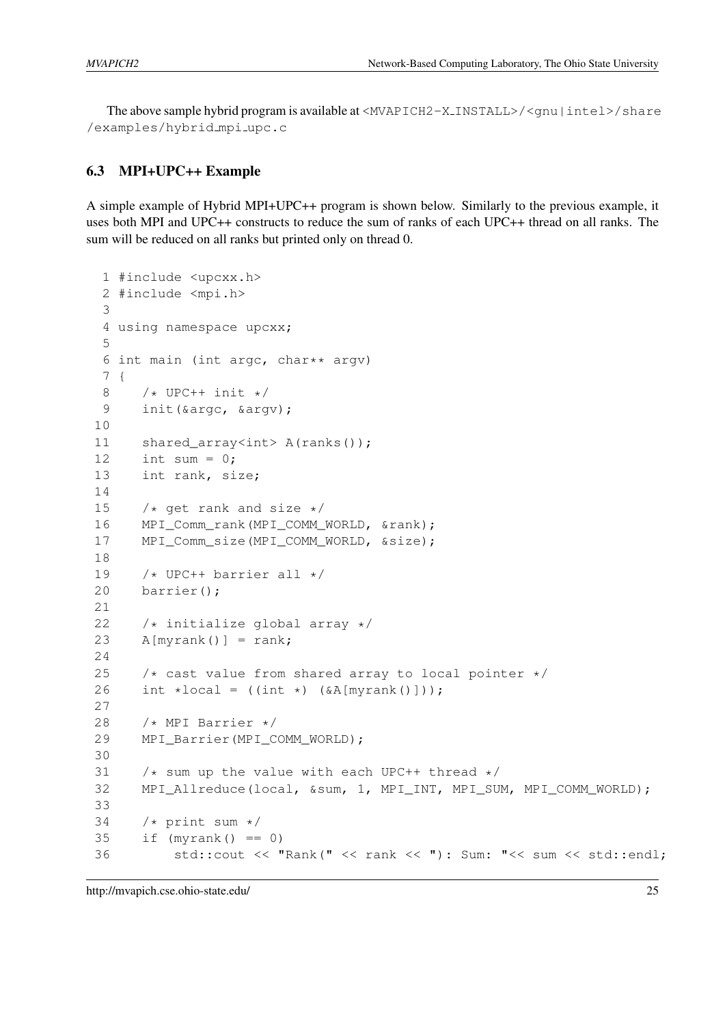The above sample hybrid program is available at  $\langle MVAPICH2-X_INSTALL\rangle / \langle qnu \mid intel \rangle / share$ /examples/hybrid mpi upc.c

#### <span id="page-28-0"></span>6.3 MPI+UPC++ Example

A simple example of Hybrid MPI+UPC++ program is shown below. Similarly to the previous example, it uses both MPI and UPC++ constructs to reduce the sum of ranks of each UPC++ thread on all ranks. The sum will be reduced on all ranks but printed only on thread 0.

```
1 #include <upcxx.h>
 2 #include <mpi.h>
3
4 using namespace upcxx;
5
 6 int main (int argc, char** argv)
 7 {
8 /* UPC++ init */9 init (&argc, &argv);
10
11 shared_array<int> A(ranks());
12 int sum = 0;
13 int rank, size;
14
15 /* get rank and size */16 MPI Comm rank(MPI COMM WORLD, &rank);
17 MPI_Comm_size(MPI_COMM_WORLD, &size);
18
19 /* UPC++ barrier all */20 barrier();
21
22 \rightarrow initialize global array \ast/
23 A[myrank()] = rank;
24
25 /* cast value from shared array to local pointer */26 int *local = (\text{int } *) (\&A[\text{myrank}()]);
27
28 /* MPI Barrier */
29 MPI Barrier(MPI COMM WORLD);
30
31 \rightarrow \ast sum up the value with each UPC++ thread \ast/
32 MPI_Allreduce(local, &sum, 1, MPI_INT, MPI_SUM, MPI_COMM_WORLD);
33
34 /* print sum */35 if (myrank() == 0)
36 std::cout << "Rank(" << rank << "): Sum: "<< sum << std::endl;
```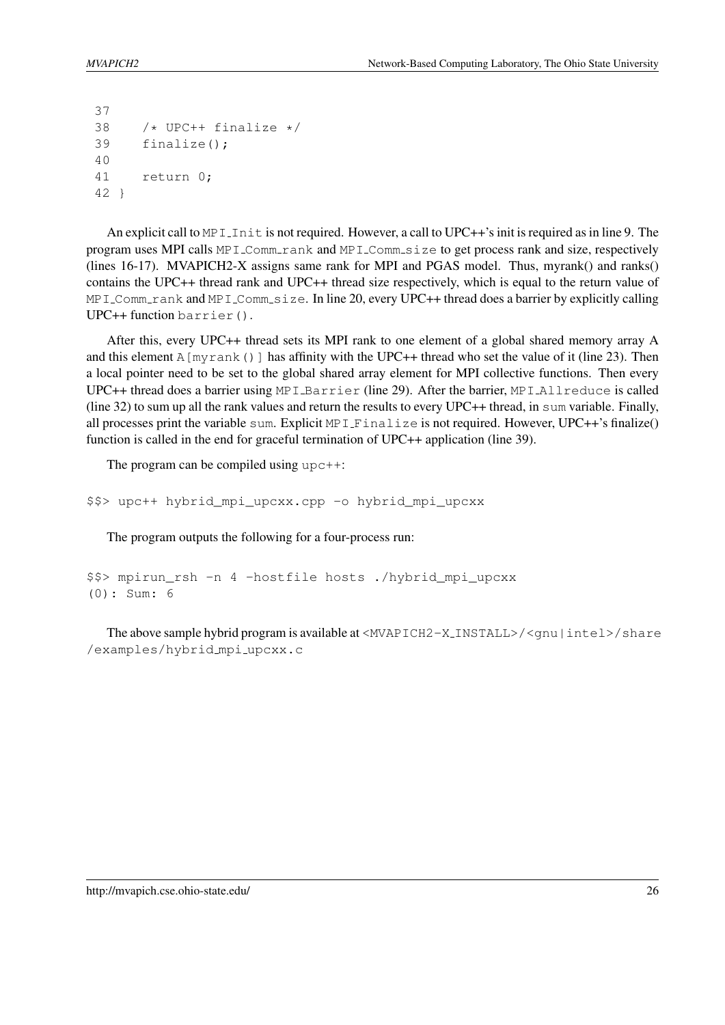```
37
38 /* UPC++ finalize */39 finalize();
40
41 return 0;
42 }
```
An explicit call to MPI Initian not required. However, a call to UPC++'s init is required as in line 9. The program uses MPI calls  $MPI_{\text{-Comm-rank}}$  and  $MPI_{\text{-Comm-size}}$  to get process rank and size, respectively (lines 16-17). MVAPICH2-X assigns same rank for MPI and PGAS model. Thus, myrank() and ranks() contains the UPC++ thread rank and UPC++ thread size respectively, which is equal to the return value of MPI\_Comm\_rank and MPI\_Comm\_size. In line 20, every UPC++ thread does a barrier by explicitly calling UPC++ function barrier().

After this, every UPC++ thread sets its MPI rank to one element of a global shared memory array A and this element A [myrank()] has affinity with the UPC++ thread who set the value of it (line 23). Then a local pointer need to be set to the global shared array element for MPI collective functions. Then every UPC++ thread does a barrier using MPI Barrier (line 29). After the barrier, MPI Allreduce is called (line 32) to sum up all the rank values and return the results to every UPC++ thread, in sum variable. Finally, all processes print the variable sum. Explicit MPI Finalize is not required. However, UPC++'s finalize() function is called in the end for graceful termination of UPC++ application (line 39).

The program can be compiled using  $\text{upc++}:$ 

\$\$> upc++ hybrid\_mpi\_upcxx.cpp -o hybrid\_mpi\_upcxx

The program outputs the following for a four-process run:

```
$$> mpirun_rsh -n 4 -hostfile hosts ./hybrid_mpi_upcxx
(0): Sum: 6
```
The above sample hybrid program is available at  $\langle MVAPICH2-X_INSTALL\rangle / \langle gnu |intel\rangle / share$ /examples/hybrid mpi upcxx.c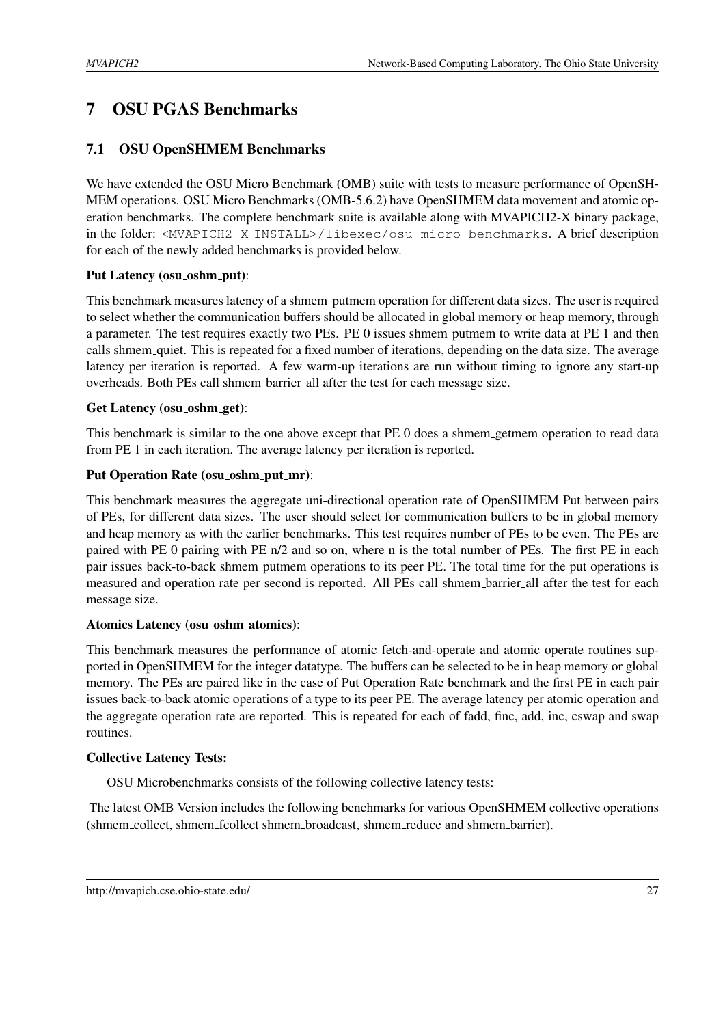# <span id="page-30-0"></span>7 OSU PGAS Benchmarks

## <span id="page-30-1"></span>7.1 OSU OpenSHMEM Benchmarks

We have extended the OSU Micro Benchmark (OMB) suite with tests to measure performance of OpenSH-MEM operations. OSU Micro Benchmarks (OMB-5.6.2) have OpenSHMEM data movement and atomic operation benchmarks. The complete benchmark suite is available along with MVAPICH2-X binary package, in the folder: <MVAPICH2-X INSTALL>/libexec/osu-micro-benchmarks. A brief description for each of the newly added benchmarks is provided below.

## Put Latency (osu\_oshm\_put):

This benchmark measures latency of a shmem putmem operation for different data sizes. The user is required to select whether the communication buffers should be allocated in global memory or heap memory, through a parameter. The test requires exactly two PEs. PE 0 issues shmem putmem to write data at PE 1 and then calls shmem quiet. This is repeated for a fixed number of iterations, depending on the data size. The average latency per iteration is reported. A few warm-up iterations are run without timing to ignore any start-up overheads. Both PEs call shmem barrier all after the test for each message size.

## Get Latency (osu\_oshm\_get):

This benchmark is similar to the one above except that PE 0 does a shmem getmem operation to read data from PE 1 in each iteration. The average latency per iteration is reported.

## Put Operation Rate (osu\_oshm\_put\_mr):

This benchmark measures the aggregate uni-directional operation rate of OpenSHMEM Put between pairs of PEs, for different data sizes. The user should select for communication buffers to be in global memory and heap memory as with the earlier benchmarks. This test requires number of PEs to be even. The PEs are paired with PE 0 pairing with PE n/2 and so on, where n is the total number of PEs. The first PE in each pair issues back-to-back shmem putmem operations to its peer PE. The total time for the put operations is measured and operation rate per second is reported. All PEs call shmem barrier all after the test for each message size.

## Atomics Latency (osu\_oshm\_atomics):

This benchmark measures the performance of atomic fetch-and-operate and atomic operate routines supported in OpenSHMEM for the integer datatype. The buffers can be selected to be in heap memory or global memory. The PEs are paired like in the case of Put Operation Rate benchmark and the first PE in each pair issues back-to-back atomic operations of a type to its peer PE. The average latency per atomic operation and the aggregate operation rate are reported. This is repeated for each of fadd, finc, add, inc, cswap and swap routines.

## Collective Latency Tests:

OSU Microbenchmarks consists of the following collective latency tests:

The latest OMB Version includes the following benchmarks for various OpenSHMEM collective operations (shmem\_collect, shmem\_fcollect shmem\_broadcast, shmem\_reduce and shmem\_barrier).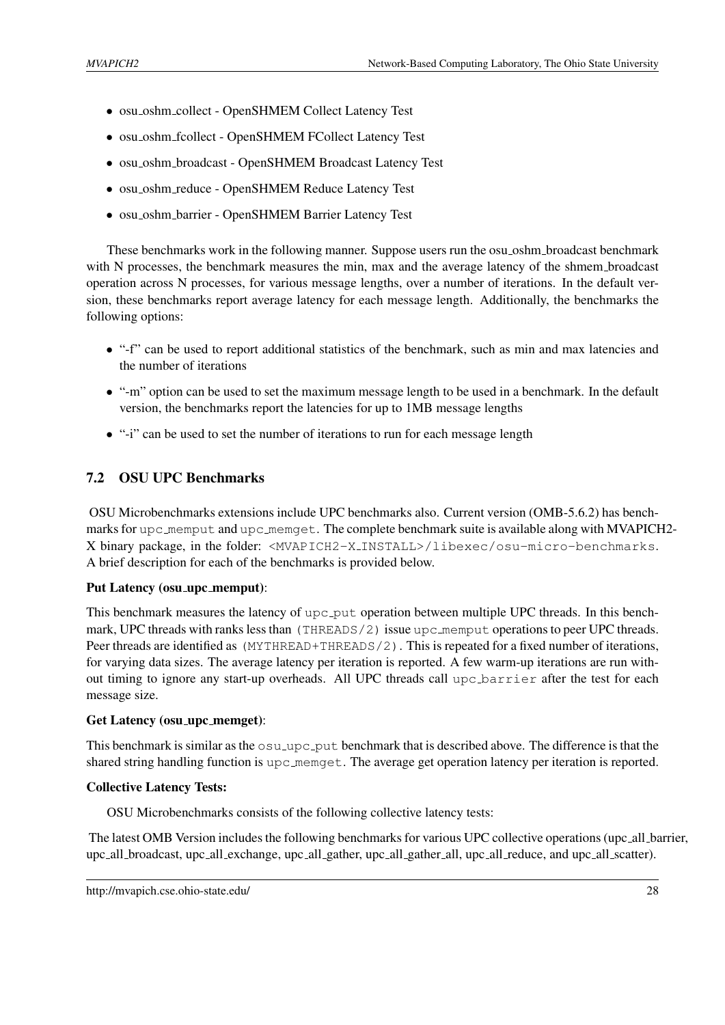- osu oshm collect OpenSHMEM Collect Latency Test
- osu\_oshm\_fcollect OpenSHMEM FCollect Latency Test
- osu\_oshm\_broadcast OpenSHMEM Broadcast Latency Test
- osu oshm reduce OpenSHMEM Reduce Latency Test
- osu oshm barrier OpenSHMEM Barrier Latency Test

These benchmarks work in the following manner. Suppose users run the osu oshm broadcast benchmark with N processes, the benchmark measures the min, max and the average latency of the shmem broadcast operation across N processes, for various message lengths, over a number of iterations. In the default version, these benchmarks report average latency for each message length. Additionally, the benchmarks the following options:

- "-f" can be used to report additional statistics of the benchmark, such as min and max latencies and the number of iterations
- "-m" option can be used to set the maximum message length to be used in a benchmark. In the default version, the benchmarks report the latencies for up to 1MB message lengths
- "-i" can be used to set the number of iterations to run for each message length

## <span id="page-31-0"></span>7.2 OSU UPC Benchmarks

OSU Microbenchmarks extensions include UPC benchmarks also. Current version (OMB-5.6.2) has benchmarks for upc\_memput and upc\_memget. The complete benchmark suite is available along with MVAPICH2-X binary package, in the folder: <MVAPICH2-X INSTALL>/libexec/osu-micro-benchmarks. A brief description for each of the benchmarks is provided below.

#### Put Latency (osu\_upc\_memput):

This benchmark measures the latency of upc put operation between multiple UPC threads. In this benchmark, UPC threads with ranks less than (THREADS/2) issue upc\_memput operations to peer UPC threads. Peer threads are identified as (MYTHREAD+THREADS/2). This is repeated for a fixed number of iterations, for varying data sizes. The average latency per iteration is reported. A few warm-up iterations are run without timing to ignore any start-up overheads. All UPC threads call upc barrier after the test for each message size.

#### Get Latency (osu\_upc\_memget):

This benchmark is similar as the  $osu\_\text{upc-put}$  benchmark that is described above. The difference is that the shared string handling function is upc memoret. The average get operation latency per iteration is reported.

#### Collective Latency Tests:

OSU Microbenchmarks consists of the following collective latency tests:

The latest OMB Version includes the following benchmarks for various UPC collective operations (upc all barrier, upc all broadcast, upc all exchange, upc all gather, upc all gather all, upc all reduce, and upc all scatter).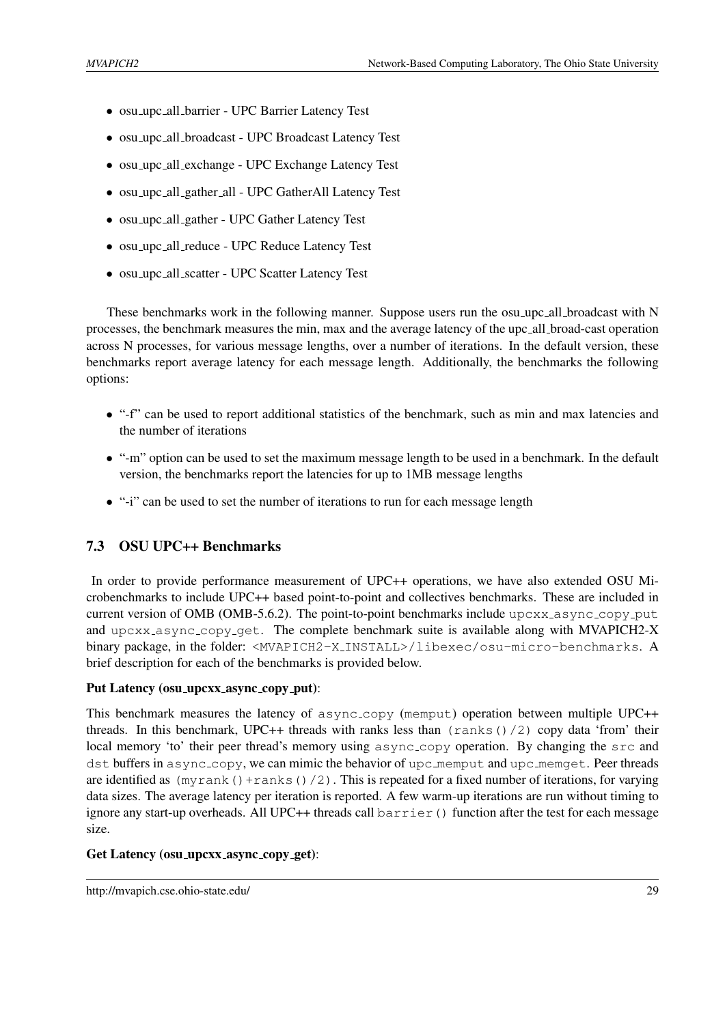- osu upc all barrier UPC Barrier Latency Test
- osu upc all broadcast UPC Broadcast Latency Test
- osu upc all exchange UPC Exchange Latency Test
- osu upc all gather all UPC GatherAll Latency Test
- osu upc all gather UPC Gather Latency Test
- osu upc all reduce UPC Reduce Latency Test
- osu upc all scatter UPC Scatter Latency Test

These benchmarks work in the following manner. Suppose users run the osu-upc all broadcast with N processes, the benchmark measures the min, max and the average latency of the upc all broad-cast operation across N processes, for various message lengths, over a number of iterations. In the default version, these benchmarks report average latency for each message length. Additionally, the benchmarks the following options:

- "-f" can be used to report additional statistics of the benchmark, such as min and max latencies and the number of iterations
- "-m" option can be used to set the maximum message length to be used in a benchmark. In the default version, the benchmarks report the latencies for up to 1MB message lengths
- "-i" can be used to set the number of iterations to run for each message length

## <span id="page-32-0"></span>7.3 OSU UPC++ Benchmarks

In order to provide performance measurement of UPC++ operations, we have also extended OSU Microbenchmarks to include UPC++ based point-to-point and collectives benchmarks. These are included in current version of OMB (OMB-5.6.2). The point-to-point benchmarks include upcxx\_async\_copy\_put and upcxx\_async\_copy\_get. The complete benchmark suite is available along with MVAPICH2-X binary package, in the folder: <MVAPICH2-X INSTALL>/libexec/osu-micro-benchmarks. A brief description for each of the benchmarks is provided below.

#### Put Latency (osu\_upcxx\_async\_copy\_put):

This benchmark measures the latency of async copy (memput) operation between multiple UPC++ threads. In this benchmark, UPC++ threads with ranks less than  $(\text{ranks}()/2)$  copy data 'from' their local memory 'to' their peer thread's memory using async<sub>-copy</sub> operation. By changing the src and dst buffers in async\_copy, we can mimic the behavior of upc\_memput and upc\_memget. Peer threads are identified as  $(mvrank()+ranks()2)$ . This is repeated for a fixed number of iterations, for varying data sizes. The average latency per iteration is reported. A few warm-up iterations are run without timing to ignore any start-up overheads. All UPC++ threads call barrier() function after the test for each message size.

#### Get Latency (osu\_upcxx\_async\_copy\_get):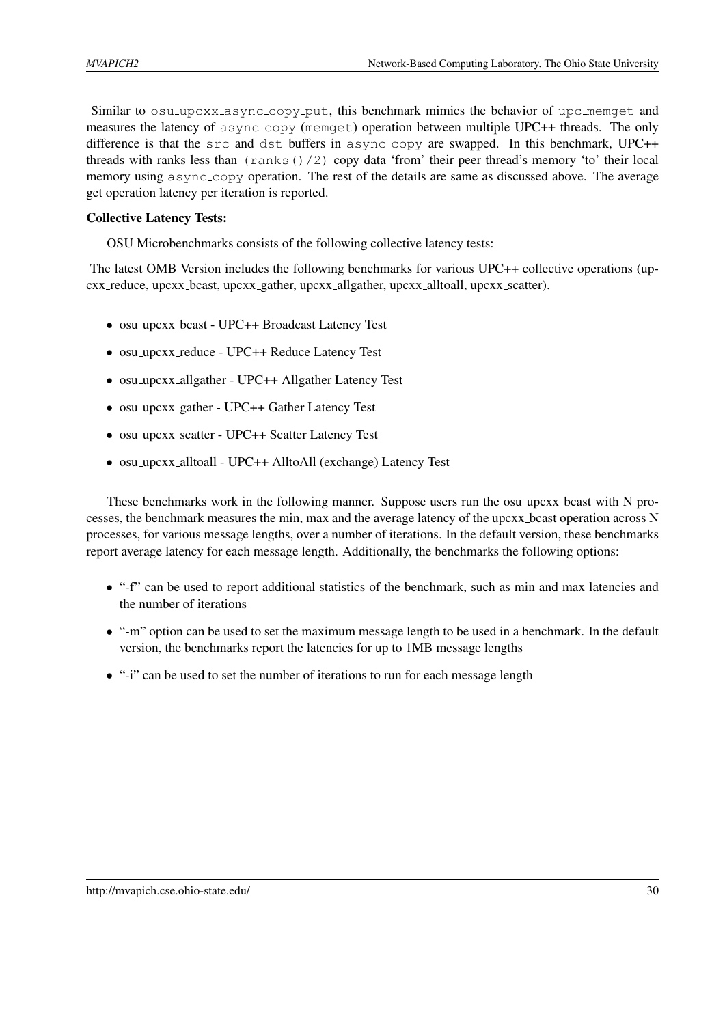Similar to osu<sub>-upcxx</sub> async-copy-put, this benchmark mimics the behavior of upc memget and measures the latency of async copy (memget) operation between multiple UPC++ threads. The only difference is that the src and dst buffers in async copy are swapped. In this benchmark, UPC++ threads with ranks less than  $(\text{rank } s) / 2)$  copy data 'from' their peer thread's memory 'to' their local memory using async copy operation. The rest of the details are same as discussed above. The average get operation latency per iteration is reported.

#### Collective Latency Tests:

OSU Microbenchmarks consists of the following collective latency tests:

The latest OMB Version includes the following benchmarks for various UPC++ collective operations (upcxx reduce, upcxx bcast, upcxx gather, upcxx allgather, upcxx alltoall, upcxx scatter).

- osu upcxx bcast UPC++ Broadcast Latency Test
- osu\_upcxx\_reduce UPC++ Reduce Latency Test
- osu\_upcxx\_allgather UPC++ Allgather Latency Test
- osu\_upcxx\_gather UPC++ Gather Latency Test
- osu\_upcxx\_scatter UPC++ Scatter Latency Test
- osu upcxx alltoall UPC++ AlltoAll (exchange) Latency Test

These benchmarks work in the following manner. Suppose users run the osu upcxx bcast with N processes, the benchmark measures the min, max and the average latency of the upcxx bcast operation across N processes, for various message lengths, over a number of iterations. In the default version, these benchmarks report average latency for each message length. Additionally, the benchmarks the following options:

- "-f" can be used to report additional statistics of the benchmark, such as min and max latencies and the number of iterations
- "-m" option can be used to set the maximum message length to be used in a benchmark. In the default version, the benchmarks report the latencies for up to 1MB message lengths
- "-i" can be used to set the number of iterations to run for each message length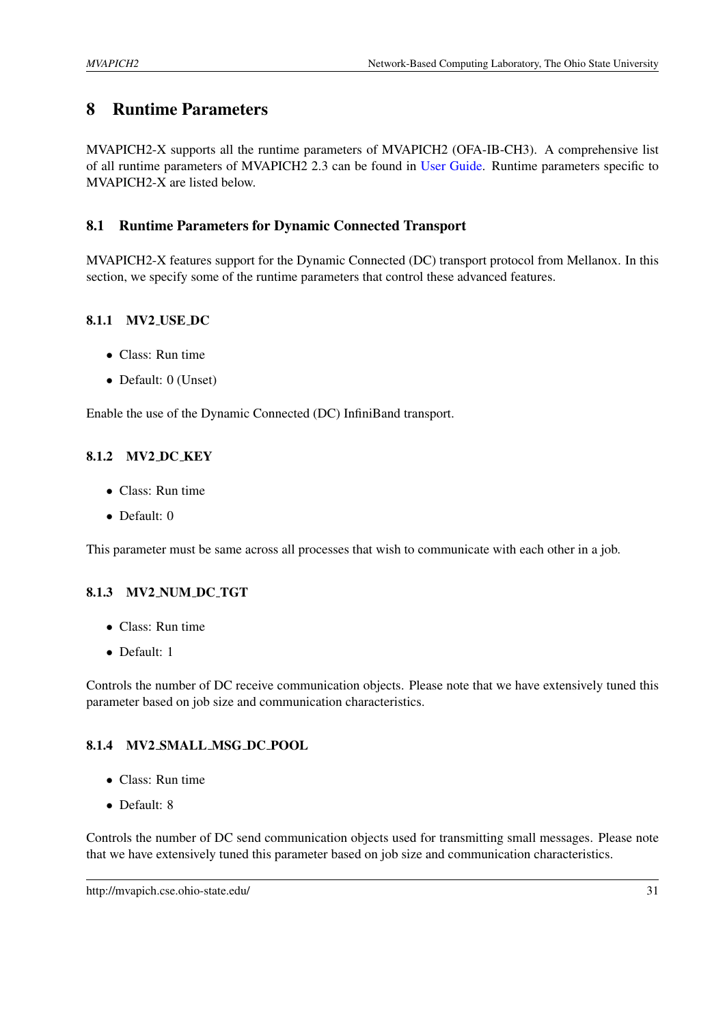# <span id="page-34-0"></span>8 Runtime Parameters

MVAPICH2-X supports all the runtime parameters of MVAPICH2 (OFA-IB-CH3). A comprehensive list of all runtime parameters of MVAPICH2 2.3 can be found in [User Guide.](http://mvapich.cse.ohio-state.edu/support/) Runtime parameters specific to MVAPICH2-X are listed below.

## <span id="page-34-1"></span>8.1 Runtime Parameters for Dynamic Connected Transport

MVAPICH2-X features support for the Dynamic Connected (DC) transport protocol from Mellanox. In this section, we specify some of the runtime parameters that control these advanced features.

## <span id="page-34-2"></span>8.1.1 MV2 USE DC

- Class: Run time
- Default: 0 (Unset)

Enable the use of the Dynamic Connected (DC) InfiniBand transport.

## <span id="page-34-3"></span>8.1.2 MV2 DC KEY

- Class: Run time
- Default: 0

This parameter must be same across all processes that wish to communicate with each other in a job.

## <span id="page-34-4"></span>8.1.3 MV2 NUM DC TGT

- Class: Run time
- Default: 1

Controls the number of DC receive communication objects. Please note that we have extensively tuned this parameter based on job size and communication characteristics.

## <span id="page-34-5"></span>8.1.4 MV2 SMALL MSG DC POOL

- Class: Run time
- Default: 8

Controls the number of DC send communication objects used for transmitting small messages. Please note that we have extensively tuned this parameter based on job size and communication characteristics.

http://mvapich.cse.ohio-state.edu/ 31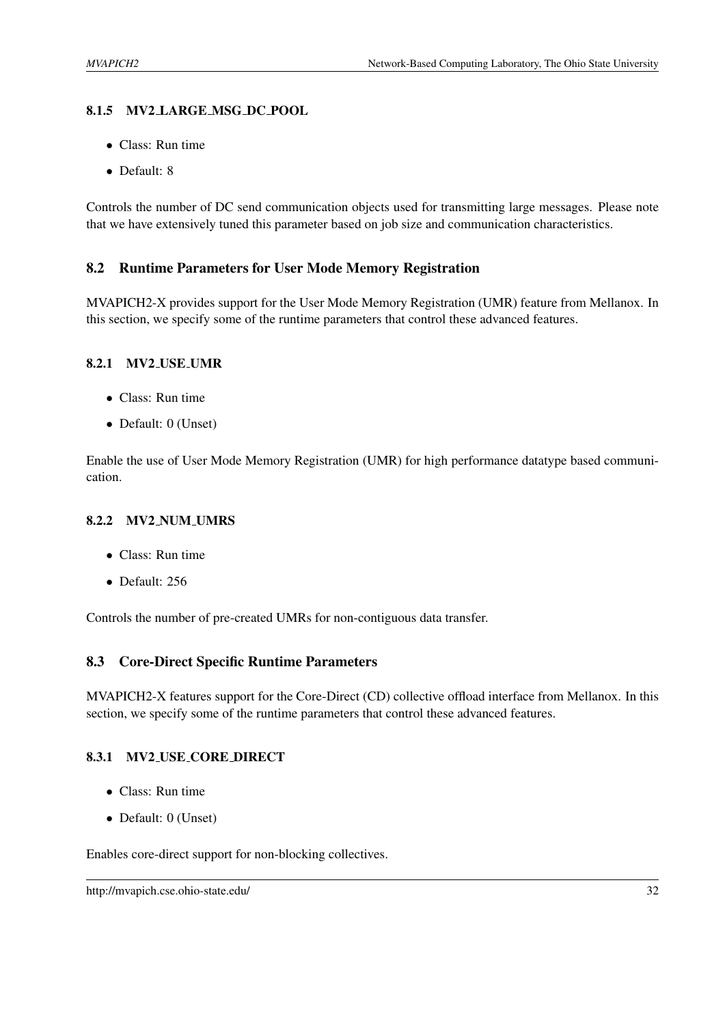## <span id="page-35-0"></span>8.1.5 MV2 LARGE MSG DC POOL

- Class: Run time
- Default: 8

Controls the number of DC send communication objects used for transmitting large messages. Please note that we have extensively tuned this parameter based on job size and communication characteristics.

## <span id="page-35-1"></span>8.2 Runtime Parameters for User Mode Memory Registration

MVAPICH2-X provides support for the User Mode Memory Registration (UMR) feature from Mellanox. In this section, we specify some of the runtime parameters that control these advanced features.

#### <span id="page-35-2"></span>8.2.1 MV2 USE UMR

- Class: Run time
- Default: 0 (Unset)

Enable the use of User Mode Memory Registration (UMR) for high performance datatype based communication.

## <span id="page-35-3"></span>8.2.2 MV2 NUM UMRS

- Class: Run time
- Default: 256

Controls the number of pre-created UMRs for non-contiguous data transfer.

## <span id="page-35-4"></span>8.3 Core-Direct Specific Runtime Parameters

MVAPICH2-X features support for the Core-Direct (CD) collective offload interface from Mellanox. In this section, we specify some of the runtime parameters that control these advanced features.

## <span id="page-35-5"></span>8.3.1 MV2 USE CORE DIRECT

- Class: Run time
- Default: 0 (Unset)

Enables core-direct support for non-blocking collectives.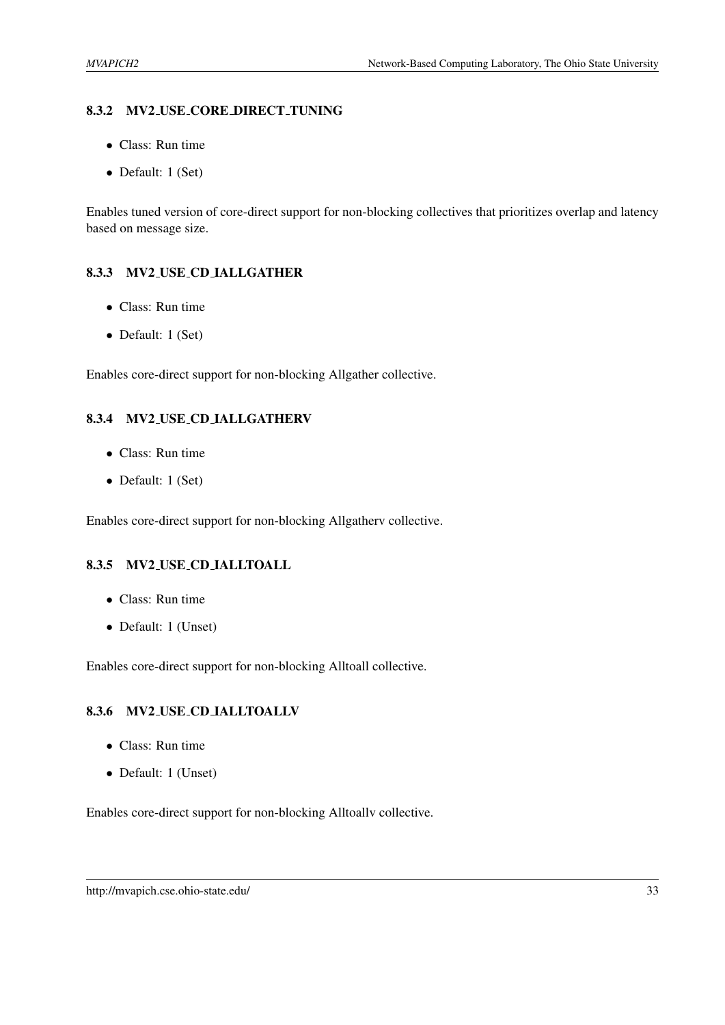#### <span id="page-36-0"></span>8.3.2 MV2 USE CORE DIRECT TUNING

- Class: Run time
- Default: 1 (Set)

Enables tuned version of core-direct support for non-blocking collectives that prioritizes overlap and latency based on message size.

## <span id="page-36-1"></span>8.3.3 MV2 USE CD IALLGATHER

- Class: Run time
- Default: 1 (Set)

Enables core-direct support for non-blocking Allgather collective.

## <span id="page-36-2"></span>8.3.4 MV2 USE CD IALLGATHERV

- Class: Run time
- Default: 1 (Set)

Enables core-direct support for non-blocking Allgatherv collective.

## <span id="page-36-3"></span>8.3.5 MV2 USE CD IALLTOALL

- Class: Run time
- Default: 1 (Unset)

Enables core-direct support for non-blocking Alltoall collective.

## <span id="page-36-4"></span>8.3.6 MV2 USE CD IALLTOALLV

- Class: Run time
- Default: 1 (Unset)

Enables core-direct support for non-blocking Alltoallv collective.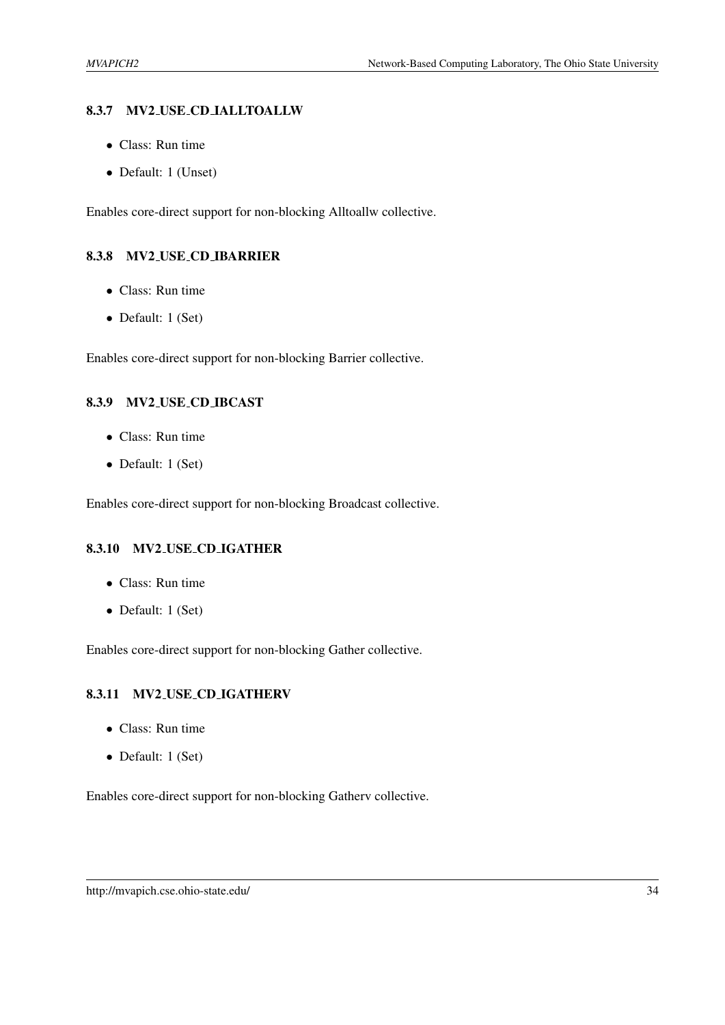#### <span id="page-37-0"></span>8.3.7 MV2 USE CD IALLTOALLW

- Class: Run time
- Default: 1 (Unset)

Enables core-direct support for non-blocking Alltoallw collective.

#### <span id="page-37-1"></span>8.3.8 MV2 USE CD IBARRIER

- Class: Run time
- Default: 1 (Set)

Enables core-direct support for non-blocking Barrier collective.

## <span id="page-37-2"></span>8.3.9 MV2 USE CD IBCAST

- Class: Run time
- Default: 1 (Set)

Enables core-direct support for non-blocking Broadcast collective.

#### <span id="page-37-3"></span>8.3.10 MV2 USE CD IGATHER

- Class: Run time
- Default: 1 (Set)

Enables core-direct support for non-blocking Gather collective.

#### <span id="page-37-4"></span>8.3.11 MV2 USE CD IGATHERV

- Class: Run time
- Default: 1 (Set)

Enables core-direct support for non-blocking Gatherv collective.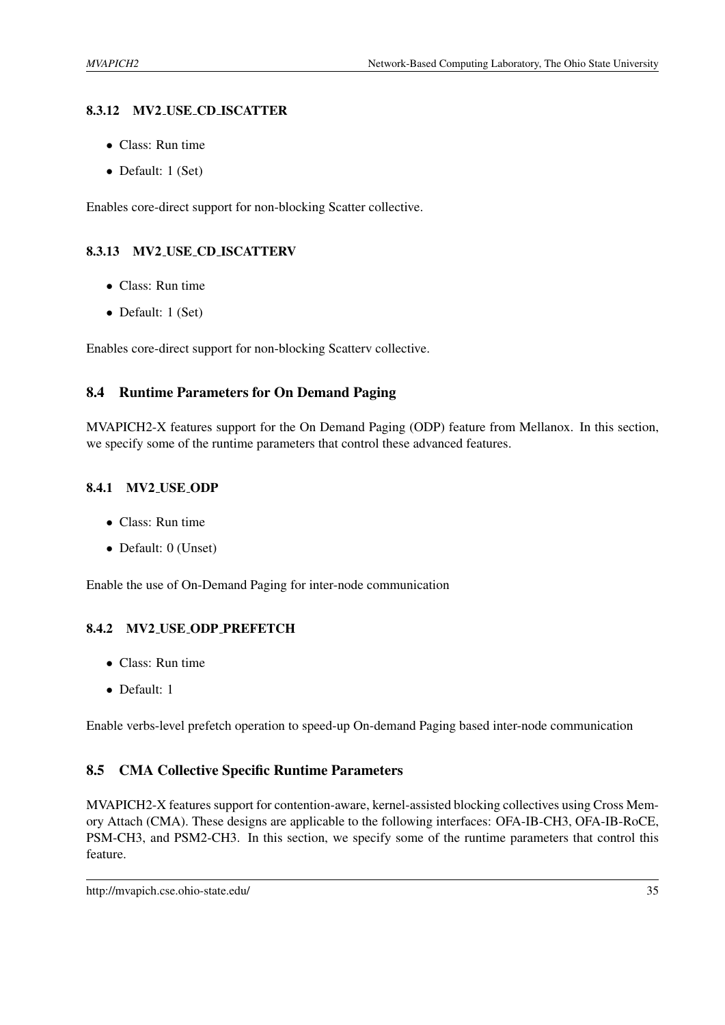## <span id="page-38-0"></span>8.3.12 MV2 USE CD ISCATTER

- Class: Run time
- Default: 1 (Set)

Enables core-direct support for non-blocking Scatter collective.

## <span id="page-38-1"></span>8.3.13 MV2 USE CD ISCATTERV

- Class: Run time
- Default: 1 (Set)

Enables core-direct support for non-blocking Scatterv collective.

## <span id="page-38-2"></span>8.4 Runtime Parameters for On Demand Paging

MVAPICH2-X features support for the On Demand Paging (ODP) feature from Mellanox. In this section, we specify some of the runtime parameters that control these advanced features.

#### <span id="page-38-3"></span>8.4.1 MV2 USE ODP

- Class: Run time
- Default: 0 (Unset)

Enable the use of On-Demand Paging for inter-node communication

## <span id="page-38-4"></span>8.4.2 MV2 USE ODP PREFETCH

- Class: Run time
- Default: 1

Enable verbs-level prefetch operation to speed-up On-demand Paging based inter-node communication

## <span id="page-38-5"></span>8.5 CMA Collective Specific Runtime Parameters

MVAPICH2-X features support for contention-aware, kernel-assisted blocking collectives using Cross Memory Attach (CMA). These designs are applicable to the following interfaces: OFA-IB-CH3, OFA-IB-RoCE, PSM-CH3, and PSM2-CH3. In this section, we specify some of the runtime parameters that control this feature.

http://mvapich.cse.ohio-state.edu/ 35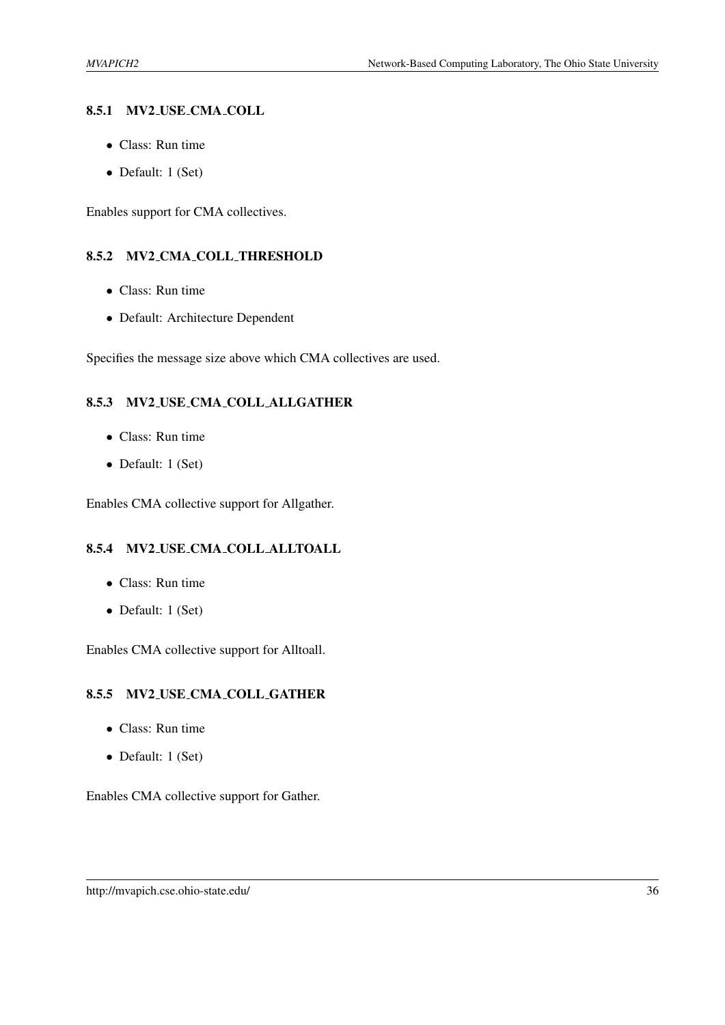#### <span id="page-39-0"></span>8.5.1 MV2 USE CMA COLL

- Class: Run time
- Default: 1 (Set)

Enables support for CMA collectives.

#### <span id="page-39-1"></span>8.5.2 MV2 CMA COLL THRESHOLD

- Class: Run time
- Default: Architecture Dependent

Specifies the message size above which CMA collectives are used.

#### <span id="page-39-2"></span>8.5.3 MV2 USE CMA COLL ALLGATHER

- Class: Run time
- Default: 1 (Set)

Enables CMA collective support for Allgather.

#### <span id="page-39-3"></span>8.5.4 MV2 USE CMA COLL ALLTOALL

- Class: Run time
- Default: 1 (Set)

Enables CMA collective support for Alltoall.

#### <span id="page-39-4"></span>8.5.5 MV2 USE CMA COLL GATHER

- Class: Run time
- Default: 1 (Set)

Enables CMA collective support for Gather.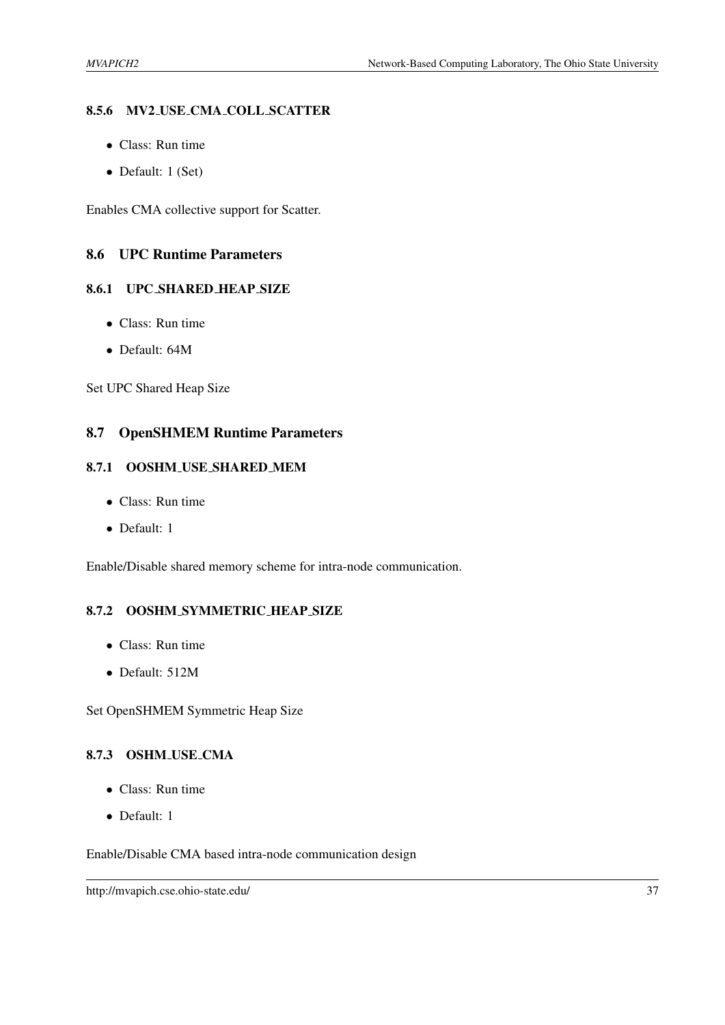#### <span id="page-40-0"></span>8.5.6 MV2 USE CMA COLL SCATTER

- Class: Run time
- Default: 1 (Set)

Enables CMA collective support for Scatter.

#### <span id="page-40-1"></span>8.6 UPC Runtime Parameters

## <span id="page-40-2"></span>8.6.1 UPC SHARED HEAP SIZE

- Class: Run time
- Default: 64M

Set UPC Shared Heap Size

## <span id="page-40-3"></span>8.7 OpenSHMEM Runtime Parameters

#### <span id="page-40-4"></span>8.7.1 OOSHM USE SHARED MEM

- Class: Run time
- Default: 1

Enable/Disable shared memory scheme for intra-node communication.

## <span id="page-40-5"></span>8.7.2 OOSHM SYMMETRIC HEAP SIZE

- Class: Run time
- Default: 512M

Set OpenSHMEM Symmetric Heap Size

## <span id="page-40-6"></span>8.7.3 OSHM USE CMA

- Class: Run time
- Default: 1

Enable/Disable CMA based intra-node communication design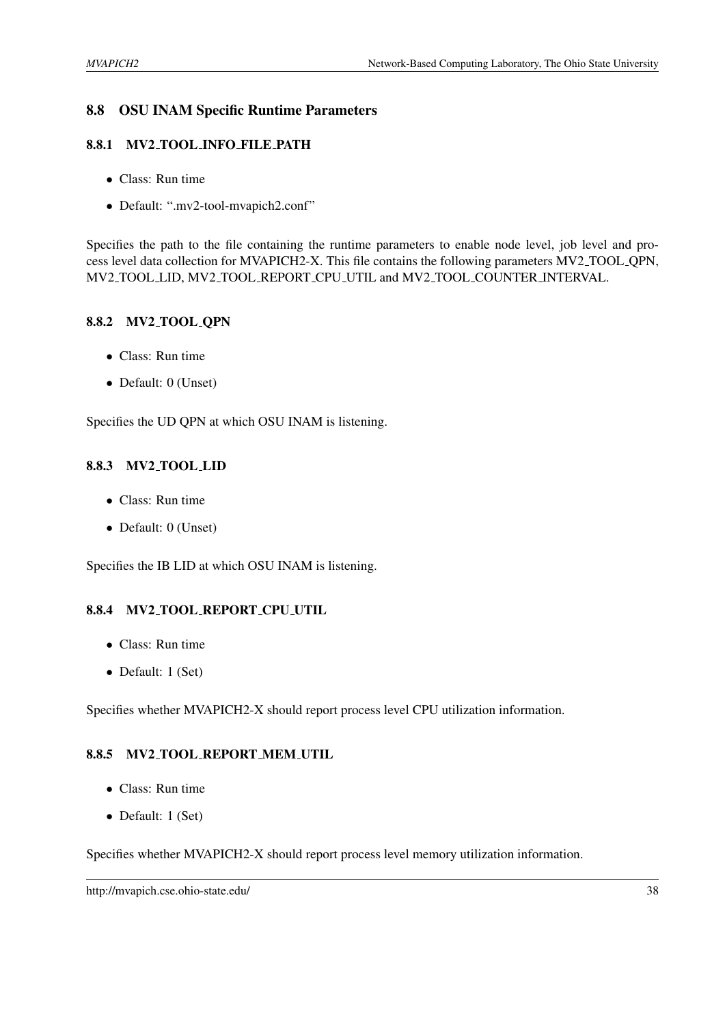## <span id="page-41-0"></span>8.8 OSU INAM Specific Runtime Parameters

#### <span id="page-41-1"></span>8.8.1 MV2 TOOL INFO FILE PATH

- Class: Run time
- Default: ".mv2-tool-mvapich2.conf"

Specifies the path to the file containing the runtime parameters to enable node level, job level and process level data collection for MVAPICH2-X. This file contains the following parameters MV2 TOOL QPN, MV2 TOOL LID, MV2 TOOL REPORT CPU UTIL and MV2 TOOL COUNTER INTERVAL.

#### <span id="page-41-2"></span>8.8.2 MV2 TOOL QPN

- Class: Run time
- Default: 0 (Unset)

Specifies the UD QPN at which OSU INAM is listening.

#### <span id="page-41-3"></span>8.8.3 MV2 TOOL LID

- Class: Run time
- Default: 0 (Unset)

Specifies the IB LID at which OSU INAM is listening.

#### <span id="page-41-4"></span>8.8.4 MV2 TOOL REPORT CPU UTIL

- Class: Run time
- Default: 1 (Set)

Specifies whether MVAPICH2-X should report process level CPU utilization information.

## <span id="page-41-5"></span>8.8.5 MV2 TOOL REPORT MEM UTIL

- Class: Run time
- Default: 1 (Set)

Specifies whether MVAPICH2-X should report process level memory utilization information.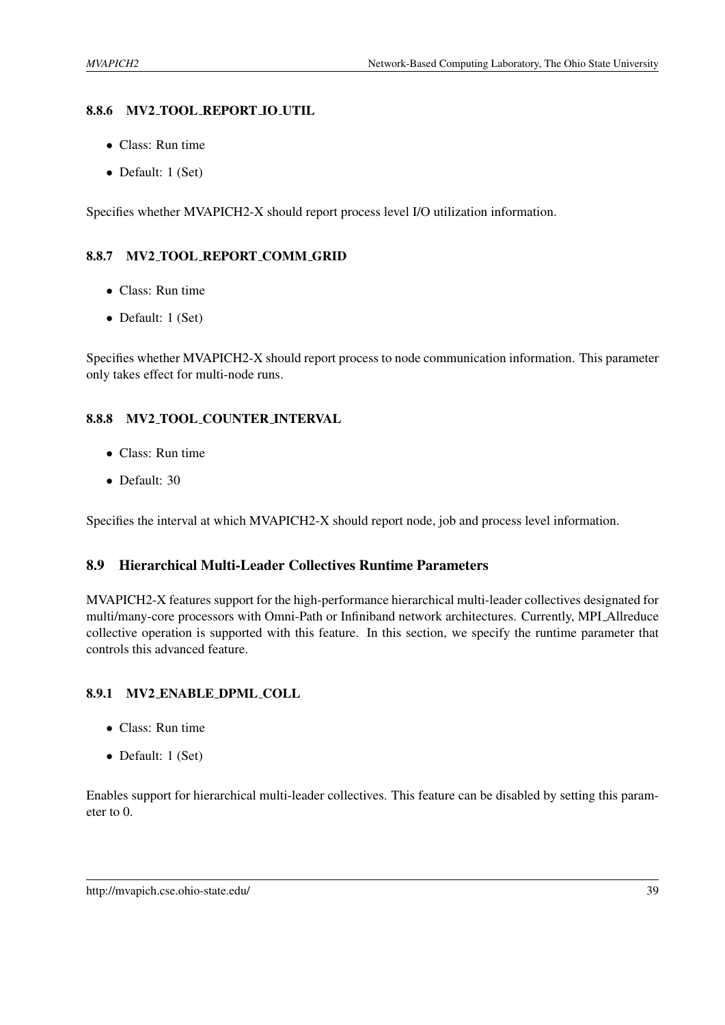#### <span id="page-42-0"></span>8.8.6 MV2 TOOL REPORT IO UTIL

- Class: Run time
- Default: 1 (Set)

Specifies whether MVAPICH2-X should report process level I/O utilization information.

#### <span id="page-42-1"></span>8.8.7 MV2 TOOL REPORT COMM GRID

- Class: Run time
- Default: 1 (Set)

Specifies whether MVAPICH2-X should report process to node communication information. This parameter only takes effect for multi-node runs.

#### <span id="page-42-2"></span>8.8.8 MV2 TOOL COUNTER INTERVAL

- Class: Run time
- Default: 30

Specifies the interval at which MVAPICH2-X should report node, job and process level information.

## <span id="page-42-3"></span>8.9 Hierarchical Multi-Leader Collectives Runtime Parameters

MVAPICH2-X features support for the high-performance hierarchical multi-leader collectives designated for multi/many-core processors with Omni-Path or Infiniband network architectures. Currently, MPI Allreduce collective operation is supported with this feature. In this section, we specify the runtime parameter that controls this advanced feature.

#### <span id="page-42-4"></span>8.9.1 MV2 ENABLE DPML COLL

- Class: Run time
- Default: 1 (Set)

Enables support for hierarchical multi-leader collectives. This feature can be disabled by setting this parameter to 0.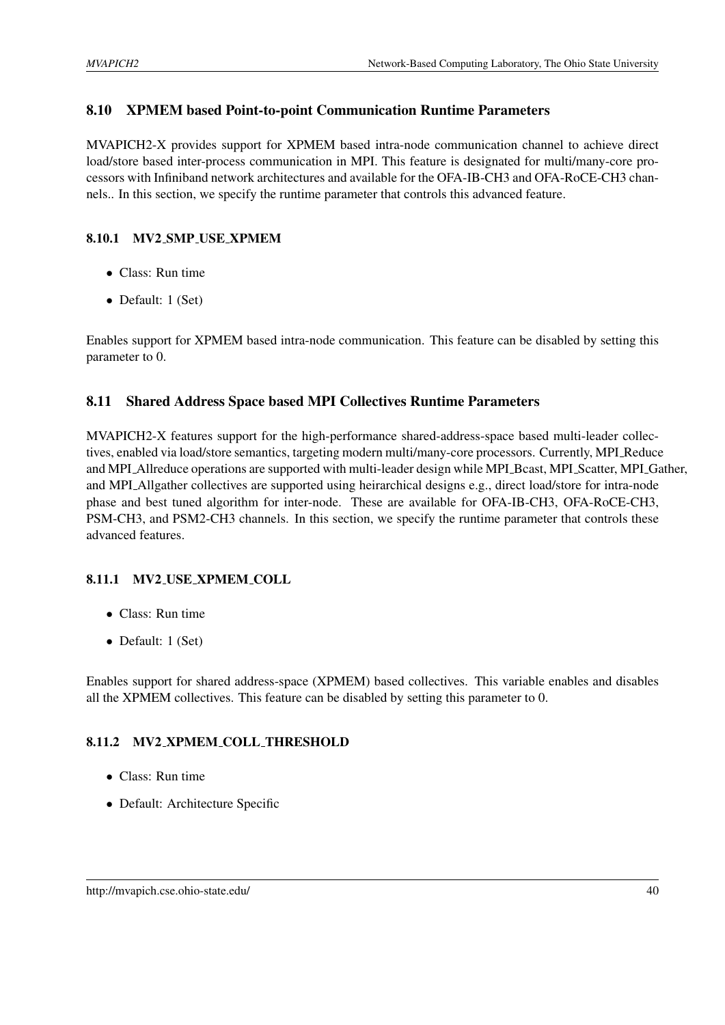## <span id="page-43-0"></span>8.10 XPMEM based Point-to-point Communication Runtime Parameters

MVAPICH2-X provides support for XPMEM based intra-node communication channel to achieve direct load/store based inter-process communication in MPI. This feature is designated for multi/many-core processors with Infiniband network architectures and available for the OFA-IB-CH3 and OFA-RoCE-CH3 channels.. In this section, we specify the runtime parameter that controls this advanced feature.

## <span id="page-43-1"></span>8.10.1 MV2 SMP USE XPMEM

- Class: Run time
- Default: 1 (Set)

Enables support for XPMEM based intra-node communication. This feature can be disabled by setting this parameter to 0.

## <span id="page-43-2"></span>8.11 Shared Address Space based MPI Collectives Runtime Parameters

MVAPICH2-X features support for the high-performance shared-address-space based multi-leader collectives, enabled via load/store semantics, targeting modern multi/many-core processors. Currently, MPI Reduce and MPI Allreduce operations are supported with multi-leader design while MPI Bcast, MPI Scatter, MPI Gather, and MPI Allgather collectives are supported using heirarchical designs e.g., direct load/store for intra-node phase and best tuned algorithm for inter-node. These are available for OFA-IB-CH3, OFA-RoCE-CH3, PSM-CH3, and PSM2-CH3 channels. In this section, we specify the runtime parameter that controls these advanced features.

## <span id="page-43-3"></span>8.11.1 MV2 USE XPMEM COLL

- Class: Run time
- Default: 1 (Set)

Enables support for shared address-space (XPMEM) based collectives. This variable enables and disables all the XPMEM collectives. This feature can be disabled by setting this parameter to 0.

## <span id="page-43-4"></span>8.11.2 MV2 XPMEM COLL THRESHOLD

- Class: Run time
- Default: Architecture Specific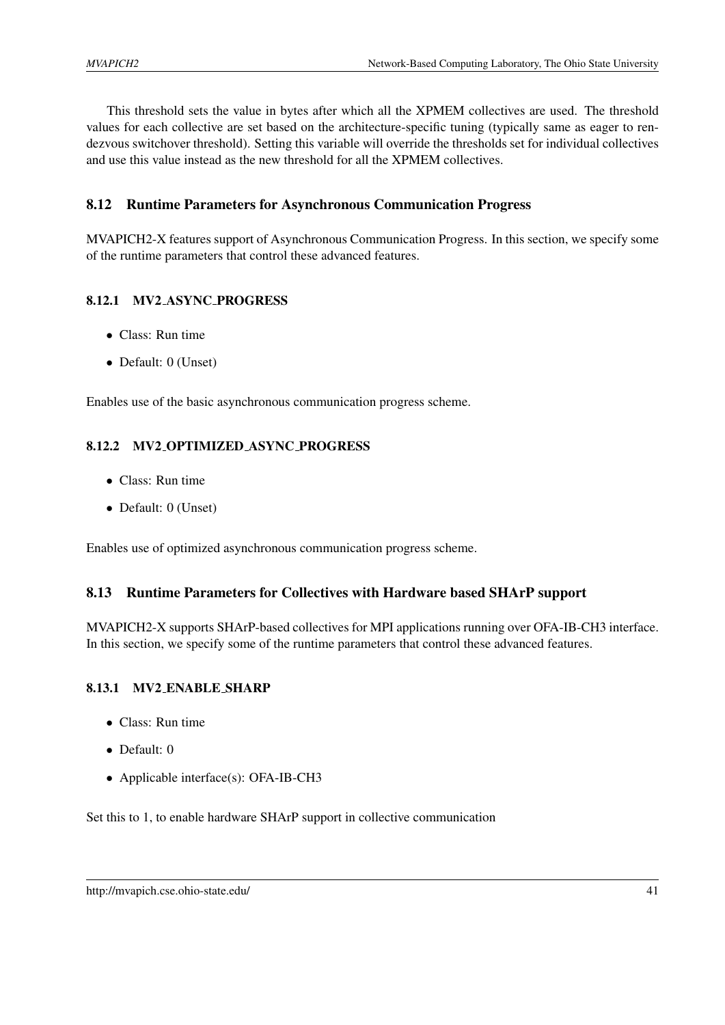This threshold sets the value in bytes after which all the XPMEM collectives are used. The threshold values for each collective are set based on the architecture-specific tuning (typically same as eager to rendezvous switchover threshold). Setting this variable will override the thresholds set for individual collectives and use this value instead as the new threshold for all the XPMEM collectives.

## <span id="page-44-0"></span>8.12 Runtime Parameters for Asynchronous Communication Progress

MVAPICH2-X features support of Asynchronous Communication Progress. In this section, we specify some of the runtime parameters that control these advanced features.

#### <span id="page-44-1"></span>8.12.1 MV2 ASYNC PROGRESS

- Class: Run time
- Default: 0 (Unset)

Enables use of the basic asynchronous communication progress scheme.

#### <span id="page-44-2"></span>8.12.2 MV2 OPTIMIZED ASYNC PROGRESS

- Class: Run time
- Default: 0 (Unset)

Enables use of optimized asynchronous communication progress scheme.

#### <span id="page-44-3"></span>8.13 Runtime Parameters for Collectives with Hardware based SHArP support

MVAPICH2-X supports SHArP-based collectives for MPI applications running over OFA-IB-CH3 interface. In this section, we specify some of the runtime parameters that control these advanced features.

#### <span id="page-44-4"></span>8.13.1 MV2 ENABLE SHARP

- Class: Run time
- Default: 0
- Applicable interface(s): OFA-IB-CH3

Set this to 1, to enable hardware SHArP support in collective communication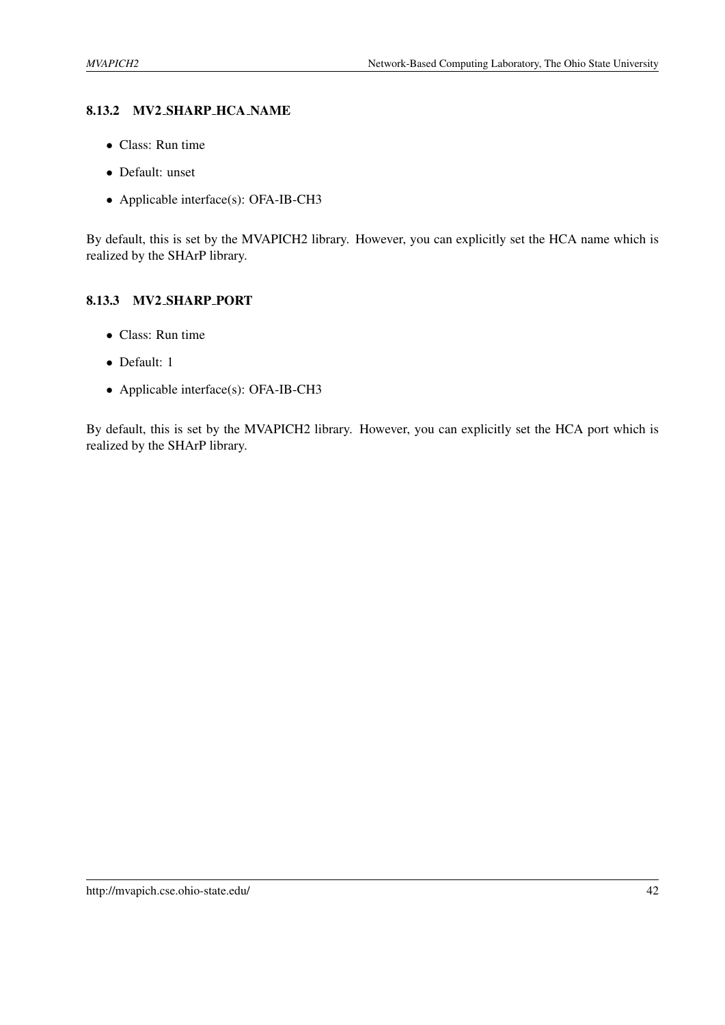## <span id="page-45-0"></span>8.13.2 MV2 SHARP HCA NAME

- Class: Run time
- Default: unset
- Applicable interface(s): OFA-IB-CH3

By default, this is set by the MVAPICH2 library. However, you can explicitly set the HCA name which is realized by the SHArP library.

#### <span id="page-45-1"></span>8.13.3 MV2 SHARP PORT

- Class: Run time
- Default: 1
- Applicable interface(s): OFA-IB-CH3

By default, this is set by the MVAPICH2 library. However, you can explicitly set the HCA port which is realized by the SHArP library.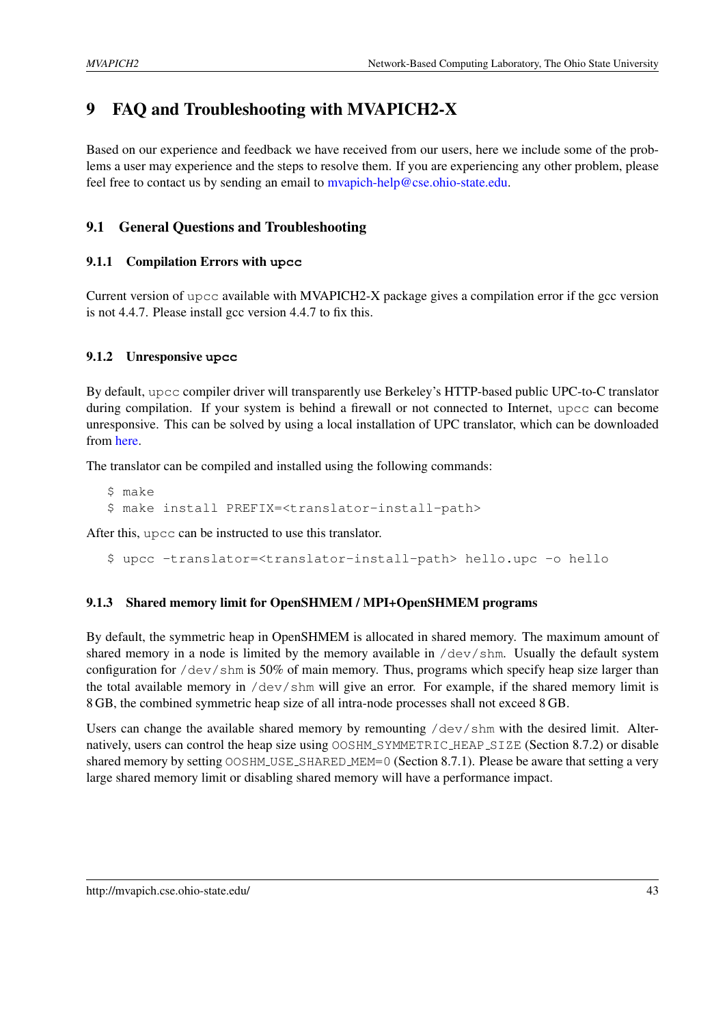# <span id="page-46-0"></span>9 FAQ and Troubleshooting with MVAPICH2-X

Based on our experience and feedback we have received from our users, here we include some of the problems a user may experience and the steps to resolve them. If you are experiencing any other problem, please feel free to contact us by sending an email to [mvapich-help@cse.ohio-state.edu.](mailto:mvapich-help@cse.ohio-state.edu)

## <span id="page-46-1"></span>9.1 General Questions and Troubleshooting

## <span id="page-46-2"></span>9.1.1 Compilation Errors with **upcc**

Current version of upcc available with MVAPICH2-X package gives a compilation error if the gcc version is not 4.4.7. Please install gcc version 4.4.7 to fix this.

## <span id="page-46-3"></span>9.1.2 Unresponsive **upcc**

By default, upcc compiler driver will transparently use Berkeley's HTTP-based public UPC-to-C translator during compilation. If your system is behind a firewall or not connected to Internet, upcc can become unresponsive. This can be solved by using a local installation of UPC translator, which can be downloaded from [here.](http://upc.lbl.gov/download/source.shtml#translator)

The translator can be compiled and installed using the following commands:

\$ make \$ make install PREFIX=<translator-install-path>

After this, upcc can be instructed to use this translator.

\$ upcc -translator=<translator-install-path> hello.upc -o hello

## <span id="page-46-4"></span>9.1.3 Shared memory limit for OpenSHMEM / MPI+OpenSHMEM programs

By default, the symmetric heap in OpenSHMEM is allocated in shared memory. The maximum amount of shared memory in a node is limited by the memory available in  $/$  dev $/$ shm. Usually the default system configuration for /dev/shm is 50% of main memory. Thus, programs which specify heap size larger than the total available memory in  $/$ dev $/$ shm will give an error. For example, if the shared memory limit is 8 GB, the combined symmetric heap size of all intra-node processes shall not exceed 8 GB.

Users can change the available shared memory by remounting /dev/shm with the desired limit. Alter-natively, users can control the heap size using OOSHM\_SYMMETRIC\_HEAP\_SIZE (Section [8.7.2\)](#page-40-5) or disable shared memory by setting OOSHM\_USE\_SHARED\_MEM=0 (Section [8.7.1\)](#page-40-4). Please be aware that setting a very large shared memory limit or disabling shared memory will have a performance impact.